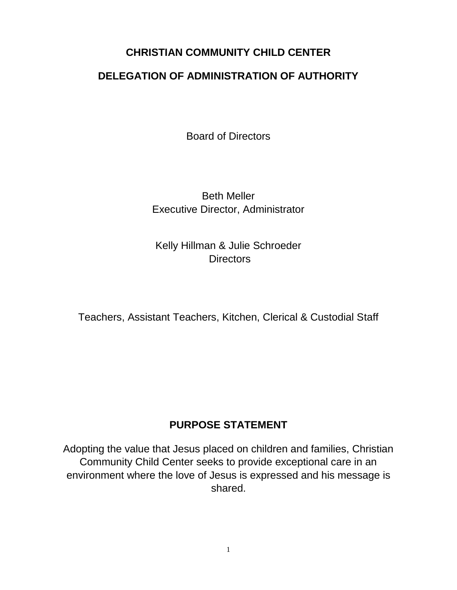## **CHRISTIAN COMMUNITY CHILD CENTER**

## **DELEGATION OF ADMINISTRATION OF AUTHORITY**

Board of Directors

Beth Meller Executive Director, Administrator

Kelly Hillman & Julie Schroeder **Directors** 

Teachers, Assistant Teachers, Kitchen, Clerical & Custodial Staff

## **PURPOSE STATEMENT**

Adopting the value that Jesus placed on children and families, Christian Community Child Center seeks to provide exceptional care in an environment where the love of Jesus is expressed and his message is shared.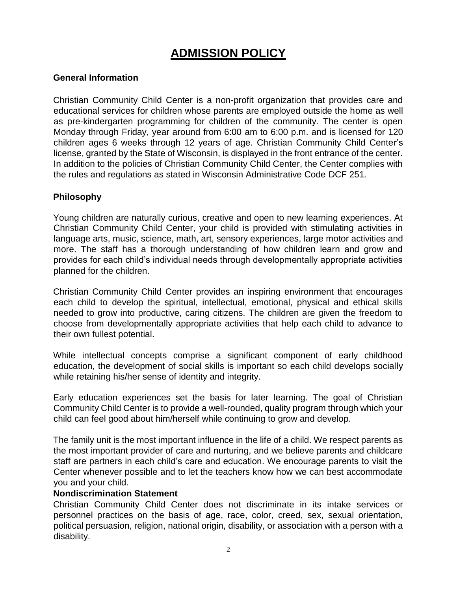# **ADMISSION POLICY**

## **General Information**

Christian Community Child Center is a non-profit organization that provides care and educational services for children whose parents are employed outside the home as well as pre-kindergarten programming for children of the community. The center is open Monday through Friday, year around from 6:00 am to 6:00 p.m. and is licensed for 120 children ages 6 weeks through 12 years of age. Christian Community Child Center's license, granted by the State of Wisconsin, is displayed in the front entrance of the center. In addition to the policies of Christian Community Child Center, the Center complies with the rules and regulations as stated in Wisconsin Administrative Code DCF 251*.*

## **Philosophy**

Young children are naturally curious, creative and open to new learning experiences. At Christian Community Child Center, your child is provided with stimulating activities in language arts, music, science, math, art, sensory experiences, large motor activities and more. The staff has a thorough understanding of how children learn and grow and provides for each child's individual needs through developmentally appropriate activities planned for the children.

Christian Community Child Center provides an inspiring environment that encourages each child to develop the spiritual, intellectual, emotional, physical and ethical skills needed to grow into productive, caring citizens. The children are given the freedom to choose from developmentally appropriate activities that help each child to advance to their own fullest potential.

While intellectual concepts comprise a significant component of early childhood education, the development of social skills is important so each child develops socially while retaining his/her sense of identity and integrity.

Early education experiences set the basis for later learning. The goal of Christian Community Child Center is to provide a well-rounded, quality program through which your child can feel good about him/herself while continuing to grow and develop.

The family unit is the most important influence in the life of a child. We respect parents as the most important provider of care and nurturing, and we believe parents and childcare staff are partners in each child's care and education. We encourage parents to visit the Center whenever possible and to let the teachers know how we can best accommodate you and your child.

## **Nondiscrimination Statement**

Christian Community Child Center does not discriminate in its intake services or personnel practices on the basis of age, race, color, creed, sex, sexual orientation, political persuasion, religion, national origin, disability, or association with a person with a disability.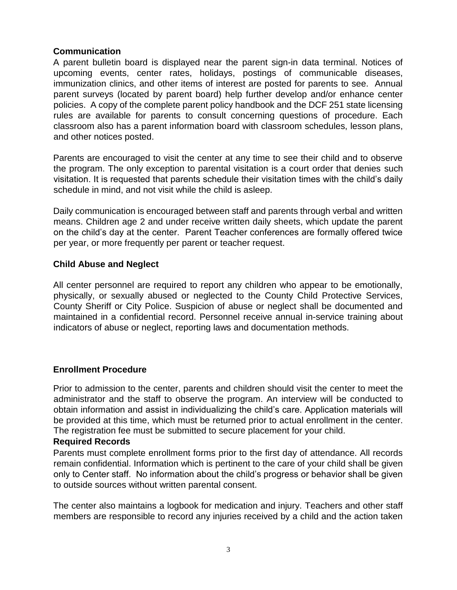## **Communication**

A parent bulletin board is displayed near the parent sign-in data terminal. Notices of upcoming events, center rates, holidays, postings of communicable diseases, immunization clinics, and other items of interest are posted for parents to see. Annual parent surveys (located by parent board) help further develop and/or enhance center policies. A copy of the complete parent policy handbook and the DCF 251 state licensing rules are available for parents to consult concerning questions of procedure. Each classroom also has a parent information board with classroom schedules, lesson plans, and other notices posted.

Parents are encouraged to visit the center at any time to see their child and to observe the program. The only exception to parental visitation is a court order that denies such visitation. It is requested that parents schedule their visitation times with the child's daily schedule in mind, and not visit while the child is asleep.

Daily communication is encouraged between staff and parents through verbal and written means. Children age 2 and under receive written daily sheets, which update the parent on the child's day at the center. Parent Teacher conferences are formally offered twice per year, or more frequently per parent or teacher request.

## **Child Abuse and Neglect**

All center personnel are required to report any children who appear to be emotionally, physically, or sexually abused or neglected to the County Child Protective Services, County Sheriff or City Police. Suspicion of abuse or neglect shall be documented and maintained in a confidential record. Personnel receive annual in-service training about indicators of abuse or neglect, reporting laws and documentation methods.

## **Enrollment Procedure**

Prior to admission to the center, parents and children should visit the center to meet the administrator and the staff to observe the program. An interview will be conducted to obtain information and assist in individualizing the child's care. Application materials will be provided at this time, which must be returned prior to actual enrollment in the center. The registration fee must be submitted to secure placement for your child.

#### **Required Records**

Parents must complete enrollment forms prior to the first day of attendance. All records remain confidential. Information which is pertinent to the care of your child shall be given only to Center staff. No information about the child's progress or behavior shall be given to outside sources without written parental consent.

The center also maintains a logbook for medication and injury. Teachers and other staff members are responsible to record any injuries received by a child and the action taken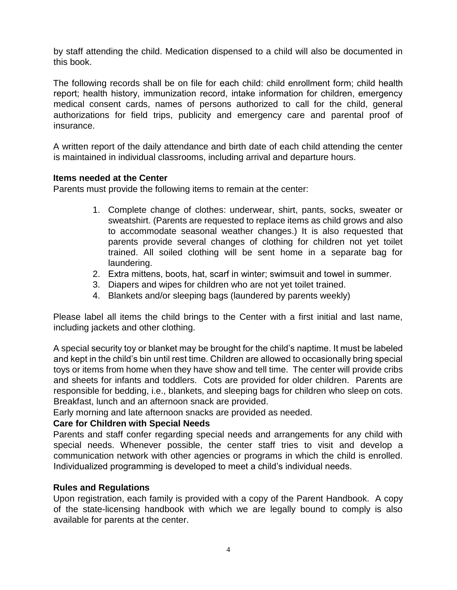by staff attending the child. Medication dispensed to a child will also be documented in this book.

The following records shall be on file for each child: child enrollment form; child health report; health history, immunization record, intake information for children, emergency medical consent cards, names of persons authorized to call for the child, general authorizations for field trips, publicity and emergency care and parental proof of insurance.

A written report of the daily attendance and birth date of each child attending the center is maintained in individual classrooms, including arrival and departure hours.

## **Items needed at the Center**

Parents must provide the following items to remain at the center:

- 1. Complete change of clothes: underwear, shirt, pants, socks, sweater or sweatshirt. (Parents are requested to replace items as child grows and also to accommodate seasonal weather changes.) It is also requested that parents provide several changes of clothing for children not yet toilet trained. All soiled clothing will be sent home in a separate bag for laundering.
- 2. Extra mittens, boots, hat, scarf in winter; swimsuit and towel in summer.
- 3. Diapers and wipes for children who are not yet toilet trained.
- 4. Blankets and/or sleeping bags (laundered by parents weekly)

Please label all items the child brings to the Center with a first initial and last name, including jackets and other clothing.

A special security toy or blanket may be brought for the child's naptime. It must be labeled and kept in the child's bin until rest time. Children are allowed to occasionally bring special toys or items from home when they have show and tell time. The center will provide cribs and sheets for infants and toddlers. Cots are provided for older children. Parents are responsible for bedding, i.e., blankets, and sleeping bags for children who sleep on cots. Breakfast, lunch and an afternoon snack are provided.

Early morning and late afternoon snacks are provided as needed.

## **Care for Children with Special Needs**

Parents and staff confer regarding special needs and arrangements for any child with special needs. Whenever possible, the center staff tries to visit and develop a communication network with other agencies or programs in which the child is enrolled. Individualized programming is developed to meet a child's individual needs.

## **Rules and Regulations**

Upon registration, each family is provided with a copy of the Parent Handbook. A copy of the state-licensing handbook with which we are legally bound to comply is also available for parents at the center.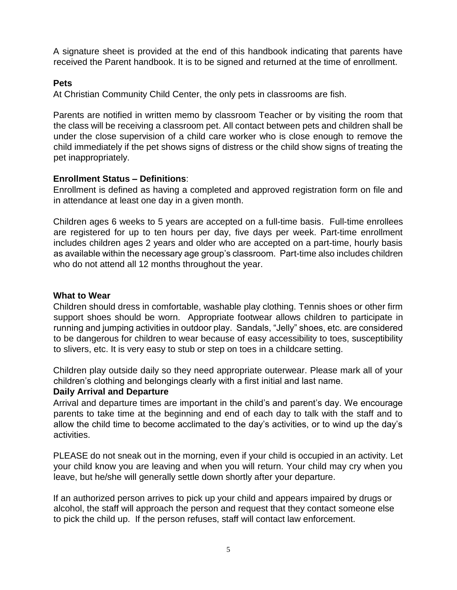A signature sheet is provided at the end of this handbook indicating that parents have received the Parent handbook. It is to be signed and returned at the time of enrollment.

## **Pets**

At Christian Community Child Center, the only pets in classrooms are fish.

Parents are notified in written memo by classroom Teacher or by visiting the room that the class will be receiving a classroom pet. All contact between pets and children shall be under the close supervision of a child care worker who is close enough to remove the child immediately if the pet shows signs of distress or the child show signs of treating the pet inappropriately.

## **Enrollment Status – Definitions**:

Enrollment is defined as having a completed and approved registration form on file and in attendance at least one day in a given month.

Children ages 6 weeks to 5 years are accepted on a full-time basis. Full-time enrollees are registered for up to ten hours per day, five days per week. Part-time enrollment includes children ages 2 years and older who are accepted on a part-time, hourly basis as available within the necessary age group's classroom. Part-time also includes children who do not attend all 12 months throughout the year.

## **What to Wear**

Children should dress in comfortable, washable play clothing. Tennis shoes or other firm support shoes should be worn. Appropriate footwear allows children to participate in running and jumping activities in outdoor play. Sandals, "Jelly" shoes, etc. are considered to be dangerous for children to wear because of easy accessibility to toes, susceptibility to slivers, etc. It is very easy to stub or step on toes in a childcare setting.

Children play outside daily so they need appropriate outerwear. Please mark all of your children's clothing and belongings clearly with a first initial and last name.

## **Daily Arrival and Departure**

Arrival and departure times are important in the child's and parent's day. We encourage parents to take time at the beginning and end of each day to talk with the staff and to allow the child time to become acclimated to the day's activities, or to wind up the day's activities.

PLEASE do not sneak out in the morning, even if your child is occupied in an activity. Let your child know you are leaving and when you will return. Your child may cry when you leave, but he/she will generally settle down shortly after your departure.

If an authorized person arrives to pick up your child and appears impaired by drugs or alcohol, the staff will approach the person and request that they contact someone else to pick the child up. If the person refuses, staff will contact law enforcement.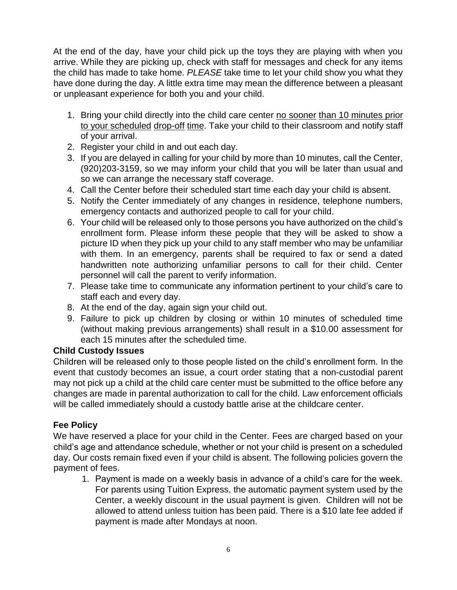At the end of the day, have your child pick up the toys they are playing with when you arrive. While they are picking up, check with staff for messages and check for any items the child has made to take home. *PLEASE* take time to let your child show you what they have done during the day. A little extra time may mean the difference between a pleasant or unpleasant experience for both you and your child.

- 1. Bring your child directly into the child care center no sooner than 10 minutes prior to your scheduled drop-off time. Take your child to their classroom and notify staff of your arrival.
- 2. Register your child in and out each day.
- 3. If you are delayed in calling for your child by more than 10 minutes, call the Center, (920)203-3159, so we may inform your child that you will be later than usual and so we can arrange the necessary staff coverage.
- 4. Call the Center before their scheduled start time each day your child is absent.
- 5. Notify the Center immediately of any changes in residence, telephone numbers, emergency contacts and authorized people to call for your child.
- 6. Your child will be released only to those persons you have authorized on the child's enrollment form. Please inform these people that they will be asked to show a picture ID when they pick up your child to any staff member who may be unfamiliar with them. In an emergency, parents shall be required to fax or send a dated handwritten note authorizing unfamiliar persons to call for their child. Center personnel will call the parent to verify information.
- 7. Please take time to communicate any information pertinent to your child's care to staff each and every day.
- 8. At the end of the day, again sign your child out.
- 9. Failure to pick up children by closing or within 10 minutes of scheduled time (without making previous arrangements) shall result in a \$10.00 assessment for each 15 minutes after the scheduled time.

## **Child Custody Issues**

Children will be released only to those people listed on the child's enrollment form*.* In the event that custody becomes an issue, a court order stating that a non-custodial parent may not pick up a child at the child care center must be submitted to the office before any changes are made in parental authorization to call for the child. Law enforcement officials will be called immediately should a custody battle arise at the childcare center.

## **Fee Policy**

We have reserved a place for your child in the Center. Fees are charged based on your child's age and attendance schedule, whether or not your child is present on a scheduled day. Our costs remain fixed even if your child is absent. The following policies govern the payment of fees.

1. Payment is made on a weekly basis in advance of a child's care for the week. For parents using Tuition Express, the automatic payment system used by the Center, a weekly discount in the usual payment is given. Children will not be allowed to attend unless tuition has been paid. There is a \$10 late fee added if payment is made after Mondays at noon.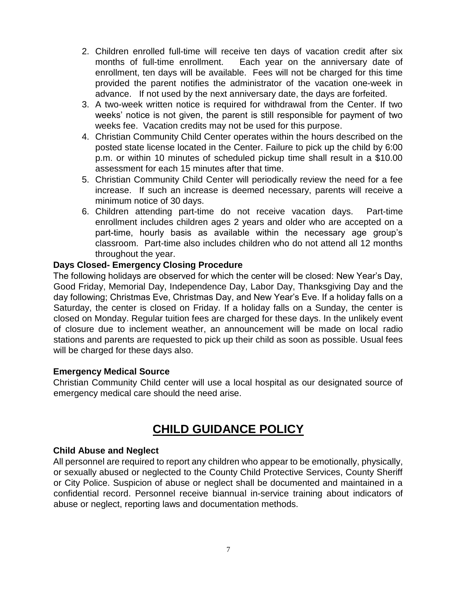- 2. Children enrolled full-time will receive ten days of vacation credit after six months of full-time enrollment. Each year on the anniversary date of enrollment, ten days will be available. Fees will not be charged for this time provided the parent notifies the administrator of the vacation one-week in advance. If not used by the next anniversary date, the days are forfeited.
- 3. A two-week written notice is required for withdrawal from the Center. If two weeks' notice is not given, the parent is still responsible for payment of two weeks fee. Vacation credits may not be used for this purpose.
- 4. Christian Community Child Center operates within the hours described on the posted state license located in the Center. Failure to pick up the child by 6:00 p.m. or within 10 minutes of scheduled pickup time shall result in a \$10.00 assessment for each 15 minutes after that time.
- 5. Christian Community Child Center will periodically review the need for a fee increase. If such an increase is deemed necessary, parents will receive a minimum notice of 30 days.
- 6. Children attending part-time do not receive vacation days. Part-time enrollment includes children ages 2 years and older who are accepted on a part-time, hourly basis as available within the necessary age group's classroom. Part-time also includes children who do not attend all 12 months throughout the year.

## **Days Closed- Emergency Closing Procedure**

The following holidays are observed for which the center will be closed: New Year's Day, Good Friday, Memorial Day, Independence Day, Labor Day, Thanksgiving Day and the day following; Christmas Eve, Christmas Day, and New Year's Eve. If a holiday falls on a Saturday, the center is closed on Friday. If a holiday falls on a Sunday, the center is closed on Monday. Regular tuition fees are charged for these days. In the unlikely event of closure due to inclement weather, an announcement will be made on local radio stations and parents are requested to pick up their child as soon as possible. Usual fees will be charged for these days also.

## **Emergency Medical Source**

Christian Community Child center will use a local hospital as our designated source of emergency medical care should the need arise.

## **CHILD GUIDANCE POLICY**

## **Child Abuse and Neglect**

All personnel are required to report any children who appear to be emotionally, physically, or sexually abused or neglected to the County Child Protective Services, County Sheriff or City Police. Suspicion of abuse or neglect shall be documented and maintained in a confidential record. Personnel receive biannual in-service training about indicators of abuse or neglect, reporting laws and documentation methods.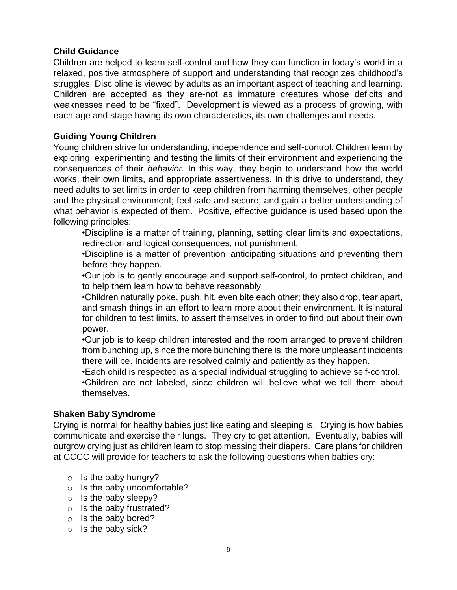## **Child Guidance**

Children are helped to learn self-control and how they can function in today's world in a relaxed, positive atmosphere of support and understanding that recognizes childhood's struggles. Discipline is viewed by adults as an important aspect of teaching and learning. Children are accepted as they are-not as immature creatures whose deficits and weaknesses need to be "fixed". Development is viewed as a process of growing, with each age and stage having its own characteristics, its own challenges and needs.

## **Guiding Young Children**

Young children strive for understanding, independence and self-control. Children learn by exploring, experimenting and testing the limits of their environment and experiencing the consequences of their *behavior.* In this way, they begin to understand how the world works, their own limits, and appropriate assertiveness. In this drive to understand, they need adults to set limits in order to keep children from harming themselves, other people and the physical environment; feel safe and secure; and gain a better understanding of what behavior is expected of them. Positive, effective guidance is used based upon the following principles:

•Discipline is a matter of training, planning, setting clear limits and expectations, redirection and logical consequences, not punishment.

•Discipline is a matter of prevention anticipating situations and preventing them before they happen.

•Our job is to gently encourage and support self-control, to protect children, and to help them learn how to behave reasonably.

•Children naturally poke, push, hit, even bite each other; they also drop, tear apart, and smash things in an effort to learn more about their environment. It is natural for children to test limits, to assert themselves in order to find out about their own power.

•Our job is to keep children interested and the room arranged to prevent children from bunching up, since the more bunching there is, the more unpleasant incidents there will be. Incidents are resolved calmly and patiently as they happen.

•Each child is respected as a special individual struggling to achieve self-control.

•Children are not labeled, since children will believe what we tell them about themselves.

## **Shaken Baby Syndrome**

Crying is normal for healthy babies just like eating and sleeping is. Crying is how babies communicate and exercise their lungs. They cry to get attention. Eventually, babies will outgrow crying just as children learn to stop messing their diapers. Care plans for children at CCCC will provide for teachers to ask the following questions when babies cry:

- $\circ$  Is the baby hungry?
- o Is the baby uncomfortable?
- $\circ$  Is the baby sleepy?
- o Is the baby frustrated?
- o Is the baby bored?
- o Is the baby sick?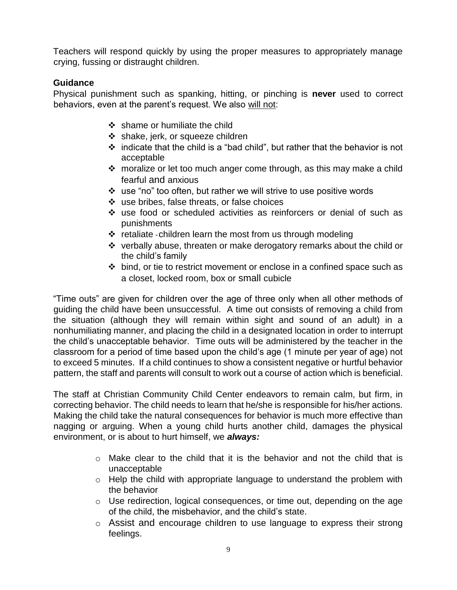Teachers will respond quickly by using the proper measures to appropriately manage crying, fussing or distraught children.

## **Guidance**

Physical punishment such as spanking, hitting, or pinching is **never** used to correct behaviors, even at the parent's request. We also will not:

- $\div$  shame or humiliate the child
- ❖ shake, jerk, or squeeze children
- $\div$  indicate that the child is a "bad child", but rather that the behavior is not acceptable
- moralize or let too much anger come through, as this may make a child fearful and anxious
- use "no" too often, but rather we will strive to use positive words
- use bribes, false threats, or false choices
- use food or scheduled activities as reinforcers or denial of such as punishments
- $\cdot$  retaliate -children learn the most from us through modeling
- verbally abuse, threaten or make derogatory remarks about the child or the child's family
- $\cdot$  bind, or tie to restrict movement or enclose in a confined space such as a closet, locked room, box or small cubicle

"Time outs" are given for children over the age of three only when all other methods of guiding the child have been unsuccessful. A time out consists of removing a child from the situation (although they will remain within sight and sound of an adult) in a nonhumiliating manner, and placing the child in a designated location in order to interrupt the child's unacceptable behavior. Time outs will be administered by the teacher in the classroom for a period of time based upon the child's age (1 minute per year of age) not to exceed 5 minutes. If a child continues to show a consistent negative or hurtful behavior pattern, the staff and parents will consult to work out a course of action which is beneficial.

The staff at Christian Community Child Center endeavors to remain calm, but firm, in correcting behavior. The child needs to learn that he/she is responsible for his/her actions. Making the child take the natural consequences for behavior is much more effective than nagging or arguing. When a young child hurts another child, damages the physical environment, or is about to hurt himself, we *always:*

- $\circ$  Make clear to the child that it is the behavior and not the child that is unacceptable
- o Help the child with appropriate language to understand the problem with the behavior
- o Use redirection, logical consequences, or time out, depending on the age of the child, the misbehavior, and the child's state.
- o Assist and encourage children to use language to express their strong feelings.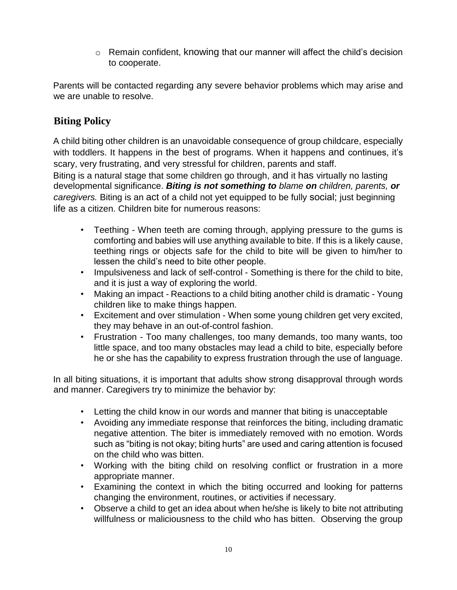o Remain confident, knowing that our manner will affect the child's decision to cooperate.

Parents will be contacted regarding any severe behavior problems which may arise and we are unable to resolve.

## **Biting Policy**

A child biting other children is an unavoidable consequence of group childcare, especially with toddlers. It happens in the best of programs. When it happens and continues, it's scary, very frustrating, and very stressful for children, parents and staff.

Biting is a natural stage that some children go through, and it has virtually no lasting developmental significance. *Biting is not something to blame on children, parents, or caregivers.* Biting is an act of a child not yet equipped to be fully social; just beginning life as a citizen. Children bite for numerous reasons:

- Teething When teeth are coming through, applying pressure to the gums is comforting and babies will use anything available to bite. If this is a likely cause, teething rings or objects safe for the child to bite will be given to him/her to lessen the child's need to bite other people.
- Impulsiveness and lack of self-control Something is there for the child to bite, and it is just a way of exploring the world.
- Making an impact Reactions to a child biting another child is dramatic Young children like to make things happen.
- Excitement and over stimulation When some young children get very excited, they may behave in an out-of-control fashion.
- Frustration Too many challenges, too many demands, too many wants, too little space, and too many obstacles may lead a child to bite, especially before he or she has the capability to express frustration through the use of language.

In all biting situations, it is important that adults show strong disapproval through words and manner. Caregivers try to minimize the behavior by:

- Letting the child know in our words and manner that biting is unacceptable
- Avoiding any immediate response that reinforces the biting, including dramatic negative attention. The biter is immediately removed with no emotion. Words such as "biting is not okay; biting hurts" are used and caring attention is focused on the child who was bitten.
- Working with the biting child on resolving conflict or frustration in a more appropriate manner.
- Examining the context in which the biting occurred and looking for patterns changing the environment, routines, or activities if necessary.
- Observe a child to get an idea about when he/she is likely to bite not attributing willfulness or maliciousness to the child who has bitten. Observing the group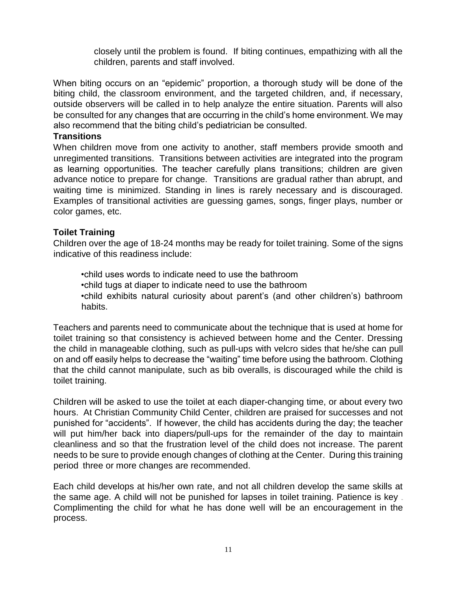closely until the problem is found. If biting continues, empathizing with all the children, parents and staff involved.

When biting occurs on an "epidemic" proportion, a thorough study will be done of the biting child, the classroom environment, and the targeted children, and, if necessary, outside observers will be called in to help analyze the entire situation. Parents will also be consulted for any changes that are occurring in the child's home environment. We may also recommend that the biting child's pediatrician be consulted.

#### **Transitions**

When children move from one activity to another, staff members provide smooth and unregimented transitions. Transitions between activities are integrated into the program as learning opportunities. The teacher carefully plans transitions; children are given advance notice to prepare for change. Transitions are gradual rather than abrupt, and waiting time is minimized. Standing in lines is rarely necessary and is discouraged. Examples of transitional activities are guessing games, songs, finger plays, number or color games, etc.

## **Toilet Training**

Children over the age of 18-24 months may be ready for toilet training. Some of the signs indicative of this readiness include:

•child uses words to indicate need to use the bathroom •child tugs at diaper to indicate need to use the bathroom •child exhibits natural curiosity about parent's (and other children's) bathroom habits.

Teachers and parents need to communicate about the technique that is used at home for toilet training so that consistency is achieved between home and the Center. Dressing the child in manageable clothing, such as pull-ups with velcro sides that he/she can pull on and off easily helps to decrease the "waiting" time before using the bathroom. Clothing that the child cannot manipulate, such as bib overalls, is discouraged while the child is toilet training.

Children will be asked to use the toilet at each diaper-changing time, or about every two hours. At Christian Community Child Center, children are praised for successes and not punished for "accidents". If however, the child has accidents during the day; the teacher will put him/her back into diapers/pull-ups for the remainder of the day to maintain cleanliness and so that the frustration level of the child does not increase. The parent needs to be sure to provide enough changes of clothing at the Center. During this training period three or more changes are recommended.

Each child develops at his/her own rate, and not all children develop the same skills at the same age. A child will not be punished for lapses in toilet training. Patience is key – Complimenting the child for what he has done well will be an encouragement in the process.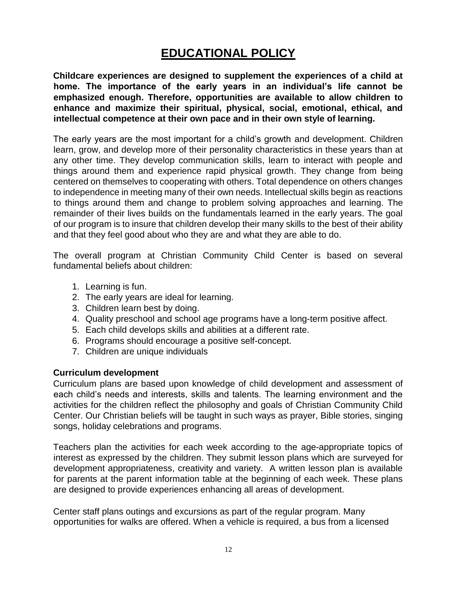# **EDUCATIONAL POLICY**

**Childcare experiences are designed to supplement the experiences of a child at home. The importance of the early years in an individual's life cannot be emphasized enough. Therefore, opportunities are available to allow children to enhance and maximize their spiritual, physical, social, emotional, ethical, and intellectual competence at their own pace and in their own style of learning.**

The early years are the most important for a child's growth and development. Children learn, grow, and develop more of their personality characteristics in these years than at any other time. They develop communication skills, learn to interact with people and things around them and experience rapid physical growth. They change from being centered on themselves to cooperating with others. Total dependence on others changes to independence in meeting many of their own needs. Intellectual skills begin as reactions to things around them and change to problem solving approaches and learning. The remainder of their lives builds on the fundamentals learned in the early years. The goal of our program is to insure that children develop their many skills to the best of their ability and that they feel good about who they are and what they are able to do.

The overall program at Christian Community Child Center is based on several fundamental beliefs about children:

- 1. Learning is fun.
- 2. The early years are ideal for learning.
- 3. Children learn best by doing.
- 4. Quality preschool and school age programs have a long-term positive affect.
- 5. Each child develops skills and abilities at a different rate.
- 6. Programs should encourage a positive self-concept.
- 7. Children are unique individuals

## **Curriculum development**

Curriculum plans are based upon knowledge of child development and assessment of each child's needs and interests, skills and talents. The learning environment and the activities for the children reflect the philosophy and goals of Christian Community Child Center. Our Christian beliefs will be taught in such ways as prayer, Bible stories, singing songs, holiday celebrations and programs.

Teachers plan the activities for each week according to the age-appropriate topics of interest as expressed by the children. They submit lesson plans which are surveyed for development appropriateness, creativity and variety. A written lesson plan is available for parents at the parent information table at the beginning of each week. These plans are designed to provide experiences enhancing all areas of development.

Center staff plans outings and excursions as part of the regular program. Many opportunities for walks are offered. When a vehicle is required, a bus from a licensed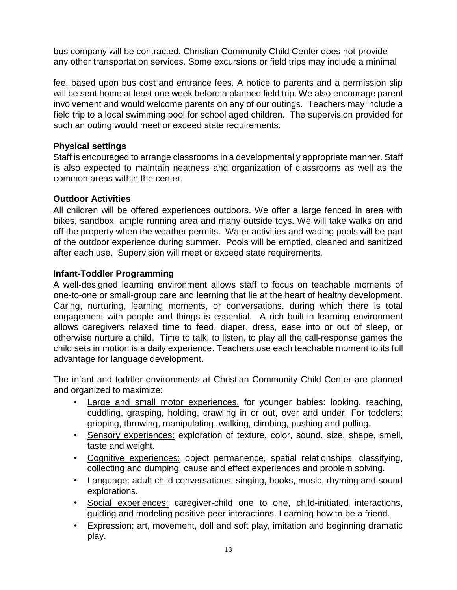bus company will be contracted. Christian Community Child Center does not provide any other transportation services. Some excursions or field trips may include a minimal

fee, based upon bus cost and entrance fees. A notice to parents and a permission slip will be sent home at least one week before a planned field trip. We also encourage parent involvement and would welcome parents on any of our outings. Teachers may include a field trip to a local swimming pool for school aged children. The supervision provided for such an outing would meet or exceed state requirements.

## **Physical settings**

Staff is encouraged to arrange classrooms in a developmentally appropriate manner. Staff is also expected to maintain neatness and organization of classrooms as well as the common areas within the center.

## **Outdoor Activities**

All children will be offered experiences outdoors. We offer a large fenced in area with bikes, sandbox, ample running area and many outside toys. We will take walks on and off the property when the weather permits. Water activities and wading pools will be part of the outdoor experience during summer. Pools will be emptied, cleaned and sanitized after each use. Supervision will meet or exceed state requirements.

## **Infant-Toddler Programming**

A well-designed learning environment allows staff to focus on teachable moments of one-to-one or small-group care and learning that lie at the heart of healthy development. Caring, nurturing, learning moments, or conversations, during which there is total engagement with people and things is essential. A rich built-in learning environment allows caregivers relaxed time to feed, diaper, dress, ease into or out of sleep, or otherwise nurture a child. Time to talk, to listen, to play all the call-response games the child sets in motion is a daily experience. Teachers use each teachable moment to its full advantage for language development.

The infant and toddler environments at Christian Community Child Center are planned and organized to maximize:

- Large and small motor experiences, for younger babies: looking, reaching, cuddling, grasping, holding, crawling in or out, over and under. For toddlers: gripping, throwing, manipulating, walking, climbing, pushing and pulling.
- Sensory experiences: exploration of texture, color, sound, size, shape, smell, taste and weight.
- Cognitive experiences: object permanence, spatial relationships, classifying, collecting and dumping, cause and effect experiences and problem solving.
- Language: adult-child conversations, singing, books, music, rhyming and sound explorations.
- Social experiences: caregiver-child one to one, child-initiated interactions, guiding and modeling positive peer interactions. Learning how to be a friend.
- Expression: art, movement, doll and soft play, imitation and beginning dramatic play.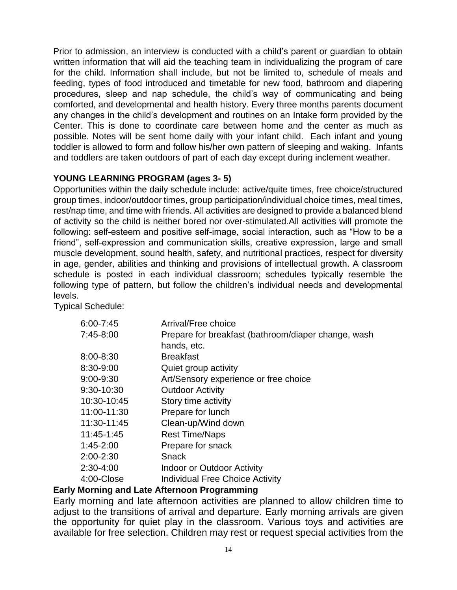Prior to admission, an interview is conducted with a child's parent or guardian to obtain written information that will aid the teaching team in individualizing the program of care for the child. Information shall include, but not be limited to, schedule of meals and feeding, types of food introduced and timetable for new food, bathroom and diapering procedures, sleep and nap schedule, the child's way of communicating and being comforted, and developmental and health history. Every three months parents document any changes in the child's development and routines on an Intake form provided by the Center. This is done to coordinate care between home and the center as much as possible. Notes will be sent home daily with your infant child. Each infant and young toddler is allowed to form and follow his/her own pattern of sleeping and waking. Infants and toddlers are taken outdoors of part of each day except during inclement weather.

## **YOUNG LEARNING PROGRAM (ages 3- 5)**

Opportunities within the daily schedule include: active/quite times, free choice/structured group times, indoor/outdoor times, group participation/individual choice times, meal times, rest/nap time, and time with friends. All activities are designed to provide a balanced blend of activity so the child is neither bored nor over-stimulated.All activities will promote the following: self-esteem and positive self-image, social interaction, such as "How to be a friend", self-expression and communication skills, creative expression, large and small muscle development, sound health, safety, and nutritional practices, respect for diversity in age, gender, abilities and thinking and provisions of intellectual growth. A classroom schedule is posted in each individual classroom; schedules typically resemble the following type of pattern, but follow the children's individual needs and developmental levels.

Typical Schedule:

| $6:00 - 7:45$ | Arrival/Free choice                                 |
|---------------|-----------------------------------------------------|
| 7:45-8:00     | Prepare for breakfast (bathroom/diaper change, wash |
|               | hands, etc.                                         |
| 8:00-8:30     | <b>Breakfast</b>                                    |
| 8:30-9:00     | Quiet group activity                                |
| 9:00-9:30     | Art/Sensory experience or free choice               |
| 9:30-10:30    | <b>Outdoor Activity</b>                             |
| 10:30-10:45   | Story time activity                                 |
| 11:00-11:30   | Prepare for lunch                                   |
| 11:30-11:45   | Clean-up/Wind down                                  |
| 11:45-1:45    | <b>Rest Time/Naps</b>                               |
| 1:45-2:00     | Prepare for snack                                   |
| 2:00-2:30     | Snack                                               |
| $2:30-4:00$   | Indoor or Outdoor Activity                          |
| 4:00-Close    | <b>Individual Free Choice Activity</b>              |
|               |                                                     |

## **Early Morning and Late Afternoon Programming**

Early morning and late afternoon activities are planned to allow children time to adjust to the transitions of arrival and departure. Early morning arrivals are given the opportunity for quiet play in the classroom. Various toys and activities are available for free selection. Children may rest or request special activities from the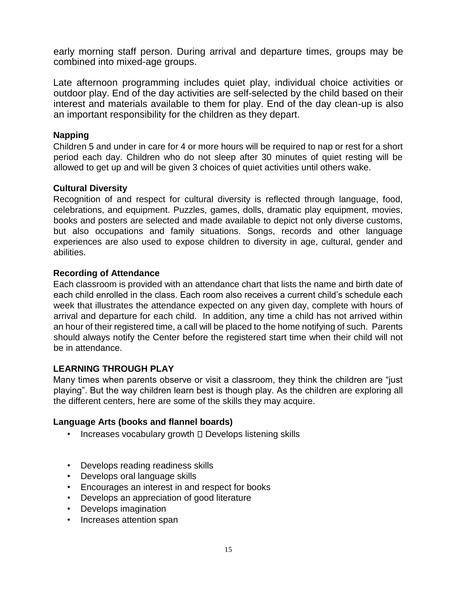early morning staff person. During arrival and departure times, groups may be combined into mixed-age groups.

Late afternoon programming includes quiet play, individual choice activities or outdoor play. End of the day activities are self-selected by the child based on their interest and materials available to them for play. End of the day clean-up is also an important responsibility for the children as they depart.

## **Napping**

Children 5 and under in care for 4 or more hours will be required to nap or rest for a short period each day. Children who do not sleep after 30 minutes of quiet resting will be allowed to get up and will be given 3 choices of quiet activities until others wake.

## **Cultural Diversity**

Recognition of and respect for cultural diversity is reflected through language, food, celebrations, and equipment. Puzzles, games, dolls, dramatic play equipment, movies, books and posters are selected and made available to depict not only diverse customs, but also occupations and family situations. Songs, records and other language experiences are also used to expose children to diversity in age, cultural, gender and abilities.

## **Recording of Attendance**

Each classroom is provided with an attendance chart that lists the name and birth date of each child enrolled in the class. Each room also receives a current child's schedule each week that illustrates the attendance expected on any given day, complete with hours of arrival and departure for each child. In addition, any time a child has not arrived within an hour of their registered time, a call will be placed to the home notifying of such. Parents should always notify the Center before the registered start time when their child will not be in attendance.

## **LEARNING THROUGH PLAY**

Many times when parents observe or visit a classroom, they think the children are "just playing". But the way children learn best is though play. As the children are exploring all the different centers, here are some of the skills they may acquire.

## **Language Arts (books and flannel boards)**

- $\cdot$  Increases vocabulary growth  $\Box$  Develops listening skills
- Develops reading readiness skills
- Develops oral language skills
- Encourages an interest in and respect for books
- Develops an appreciation of good literature
- Develops imagination
- Increases attention span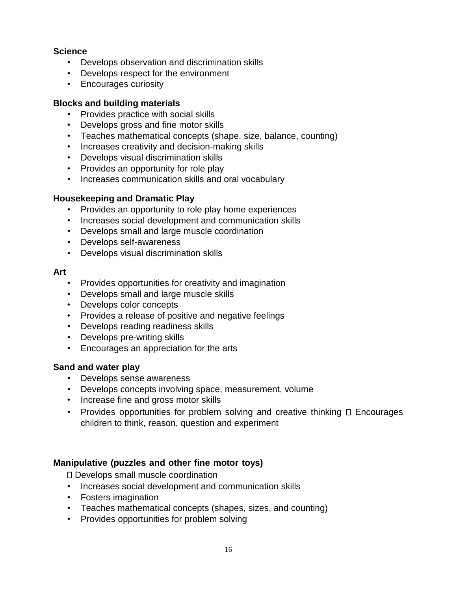## **Science**

- Develops observation and discrimination skills
- Develops respect for the environment
- Encourages curiosity

## **Blocks and building materials**

- Provides practice with social skills
- Develops gross and fine motor skills
- Teaches mathematical concepts (shape, size, balance, counting)
- Increases creativity and decision-making skills
- Develops visual discrimination skills
- Provides an opportunity for role play
- Increases communication skills and oral vocabulary

## **Housekeeping and Dramatic Play**

- Provides an opportunity to role play home experiences
- Increases social development and communication skills
- Develops small and large muscle coordination
- Develops self-awareness
- Develops visual discrimination skills

#### **Art**

- Provides opportunities for creativity and imagination
- Develops small and large muscle skills
- Develops color concepts
- Provides a release of positive and negative feelings
- Develops reading readiness skills
- Develops pre-writing skills
- Encourages an appreciation for the arts

## **Sand and water play**

- Develops sense awareness
- Develops concepts involving space, measurement, volume
- Increase fine and gross motor skills
- Provides opportunities for problem solving and creative thinking  $\Box$  Encourages children to think, reason, question and experiment

## **Manipulative (puzzles and other fine motor toys)**

Develops small muscle coordination

- Increases social development and communication skills
- Fosters imagination
- Teaches mathematical concepts (shapes, sizes, and counting)
- Provides opportunities for problem solving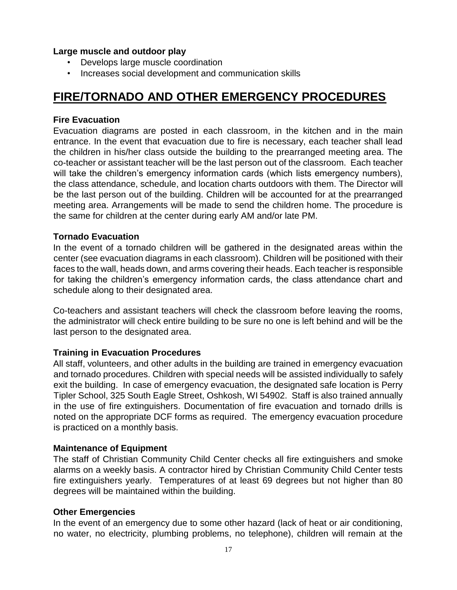## **Large muscle and outdoor play**

- Develops large muscle coordination
- Increases social development and communication skills

# **FIRE/TORNADO AND OTHER EMERGENCY PROCEDURES**

## **Fire Evacuation**

Evacuation diagrams are posted in each classroom, in the kitchen and in the main entrance. In the event that evacuation due to fire is necessary, each teacher shall lead the children in his/her class outside the building to the prearranged meeting area. The co-teacher or assistant teacher will be the last person out of the classroom. Each teacher will take the children's emergency information cards (which lists emergency numbers), the class attendance, schedule, and location charts outdoors with them. The Director will be the last person out of the building. Children will be accounted for at the prearranged meeting area. Arrangements will be made to send the children home. The procedure is the same for children at the center during early AM and/or late PM.

## **Tornado Evacuation**

In the event of a tornado children will be gathered in the designated areas within the center (see evacuation diagrams in each classroom). Children will be positioned with their faces to the wall, heads down, and arms covering their heads. Each teacher is responsible for taking the children's emergency information cards, the class attendance chart and schedule along to their designated area.

Co-teachers and assistant teachers will check the classroom before leaving the rooms, the administrator will check entire building to be sure no one is left behind and will be the last person to the designated area.

## **Training in Evacuation Procedures**

All staff, volunteers, and other adults in the building are trained in emergency evacuation and tornado procedures. Children with special needs will be assisted individually to safely exit the building. In case of emergency evacuation, the designated safe location is Perry Tipler School, 325 South Eagle Street, Oshkosh, WI 54902. Staff is also trained annually in the use of fire extinguishers. Documentation of fire evacuation and tornado drills is noted on the appropriate DCF forms as required. The emergency evacuation procedure is practiced on a monthly basis.

## **Maintenance of Equipment**

The staff of Christian Community Child Center checks all fire extinguishers and smoke alarms on a weekly basis. A contractor hired by Christian Community Child Center tests fire extinguishers yearly. Temperatures of at least 69 degrees but not higher than 80 degrees will be maintained within the building.

## **Other Emergencies**

In the event of an emergency due to some other hazard (lack of heat or air conditioning, no water, no electricity, plumbing problems, no telephone), children will remain at the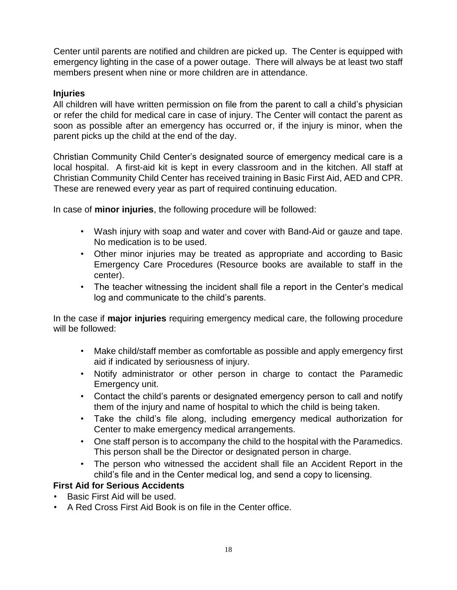Center until parents are notified and children are picked up. The Center is equipped with emergency lighting in the case of a power outage. There will always be at least two staff members present when nine or more children are in attendance.

## **Injuries**

All children will have written permission on file from the parent to call a child's physician or refer the child for medical care in case of injury. The Center will contact the parent as soon as possible after an emergency has occurred or, if the injury is minor, when the parent picks up the child at the end of the day.

Christian Community Child Center's designated source of emergency medical care is a local hospital. A first-aid kit is kept in every classroom and in the kitchen. All staff at Christian Community Child Center has received training in Basic First Aid, AED and CPR. These are renewed every year as part of required continuing education.

In case of **minor injuries**, the following procedure will be followed:

- Wash injury with soap and water and cover with Band-Aid or gauze and tape. No medication is to be used.
- Other minor injuries may be treated as appropriate and according to Basic Emergency Care Procedures (Resource books are available to staff in the center).
- The teacher witnessing the incident shall file a report in the Center's medical log and communicate to the child's parents.

In the case if **major injuries** requiring emergency medical care, the following procedure will be followed:

- Make child/staff member as comfortable as possible and apply emergency first aid if indicated by seriousness of injury.
- Notify administrator or other person in charge to contact the Paramedic Emergency unit.
- Contact the child's parents or designated emergency person to call and notify them of the injury and name of hospital to which the child is being taken.
- Take the child's file along, including emergency medical authorization for Center to make emergency medical arrangements.
- One staff person is to accompany the child to the hospital with the Paramedics. This person shall be the Director or designated person in charge.
- The person who witnessed the accident shall file an Accident Report in the child's file and in the Center medical log, and send a copy to licensing.

## **First Aid for Serious Accidents**

- Basic First Aid will be used.
- A Red Cross First Aid Book is on file in the Center office.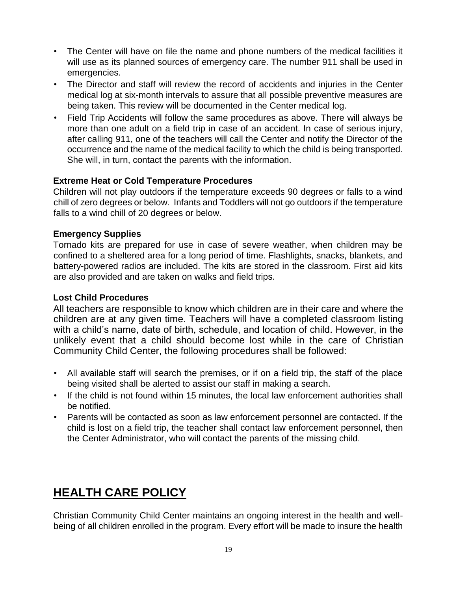- The Center will have on file the name and phone numbers of the medical facilities it will use as its planned sources of emergency care. The number 911 shall be used in emergencies.
- The Director and staff will review the record of accidents and injuries in the Center medical log at six-month intervals to assure that all possible preventive measures are being taken. This review will be documented in the Center medical log.
- Field Trip Accidents will follow the same procedures as above. There will always be more than one adult on a field trip in case of an accident. In case of serious injury, after calling 911, one of the teachers will call the Center and notify the Director of the occurrence and the name of the medical facility to which the child is being transported. She will, in turn, contact the parents with the information.

## **Extreme Heat or Cold Temperature Procedures**

Children will not play outdoors if the temperature exceeds 90 degrees or falls to a wind chill of zero degrees or below. Infants and Toddlers will not go outdoors if the temperature falls to a wind chill of 20 degrees or below.

## **Emergency Supplies**

Tornado kits are prepared for use in case of severe weather, when children may be confined to a sheltered area for a long period of time. Flashlights, snacks, blankets, and battery-powered radios are included. The kits are stored in the classroom. First aid kits are also provided and are taken on walks and field trips.

## **Lost Child Procedures**

All teachers are responsible to know which children are in their care and where the children are at any given time. Teachers will have a completed classroom listing with a child's name, date of birth, schedule, and location of child. However, in the unlikely event that a child should become lost while in the care of Christian Community Child Center, the following procedures shall be followed:

- All available staff will search the premises, or if on a field trip, the staff of the place being visited shall be alerted to assist our staff in making a search.
- If the child is not found within 15 minutes, the local law enforcement authorities shall be notified.
- Parents will be contacted as soon as law enforcement personnel are contacted. If the child is lost on a field trip, the teacher shall contact law enforcement personnel, then the Center Administrator, who will contact the parents of the missing child.

# **HEALTH CARE POLICY**

Christian Community Child Center maintains an ongoing interest in the health and wellbeing of all children enrolled in the program. Every effort will be made to insure the health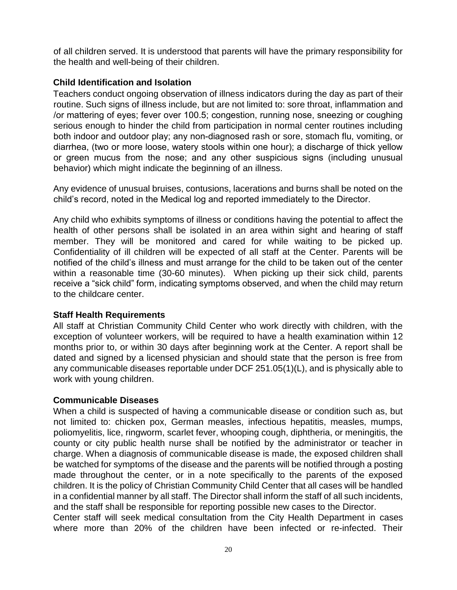of all children served. It is understood that parents will have the primary responsibility for the health and well-being of their children.

## **Child Identification and Isolation**

Teachers conduct ongoing observation of illness indicators during the day as part of their routine. Such signs of illness include, but are not limited to: sore throat, inflammation and /or mattering of eyes; fever over 100.5; congestion, running nose, sneezing or coughing serious enough to hinder the child from participation in normal center routines including both indoor and outdoor play; any non-diagnosed rash or sore, stomach flu, vomiting, or diarrhea, (two or more loose, watery stools within one hour); a discharge of thick yellow or green mucus from the nose; and any other suspicious signs (including unusual behavior) which might indicate the beginning of an illness.

Any evidence of unusual bruises, contusions, lacerations and burns shall be noted on the child's record, noted in the Medical log and reported immediately to the Director.

Any child who exhibits symptoms of illness or conditions having the potential to affect the health of other persons shall be isolated in an area within sight and hearing of staff member. They will be monitored and cared for while waiting to be picked up. Confidentiality of ill children will be expected of all staff at the Center. Parents will be notified of the child's illness and must arrange for the child to be taken out of the center within a reasonable time (30-60 minutes). When picking up their sick child, parents receive a "sick child" form, indicating symptoms observed, and when the child may return to the childcare center.

## **Staff Health Requirements**

All staff at Christian Community Child Center who work directly with children, with the exception of volunteer workers, will be required to have a health examination within 12 months prior to, or within 30 days after beginning work at the Center. A report shall be dated and signed by a licensed physician and should state that the person is free from any communicable diseases reportable under DCF 251.05(1)(L), and is physically able to work with young children.

## **Communicable Diseases**

When a child is suspected of having a communicable disease or condition such as, but not limited to: chicken pox, German measles, infectious hepatitis, measles, mumps, poliomyelitis, lice, ringworm, scarlet fever, whooping cough, diphtheria, or meningitis, the county or city public health nurse shall be notified by the administrator or teacher in charge. When a diagnosis of communicable disease is made, the exposed children shall be watched for symptoms of the disease and the parents will be notified through a posting made throughout the center, or in a note specifically to the parents of the exposed children. It is the policy of Christian Community Child Center that all cases will be handled in a confidential manner by all staff. The Director shall inform the staff of all such incidents, and the staff shall be responsible for reporting possible new cases to the Director.

Center staff will seek medical consultation from the City Health Department in cases where more than 20% of the children have been infected or re-infected. Their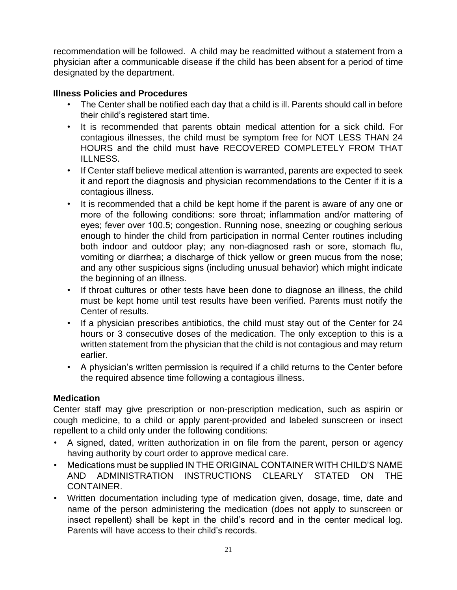recommendation will be followed. A child may be readmitted without a statement from a physician after a communicable disease if the child has been absent for a period of time designated by the department.

## **Illness Policies and Procedures**

- The Center shall be notified each day that a child is ill. Parents should call in before their child's registered start time.
- It is recommended that parents obtain medical attention for a sick child. For contagious illnesses, the child must be symptom free for NOT LESS THAN 24 HOURS and the child must have RECOVERED COMPLETELY FROM THAT ILLNESS.
- If Center staff believe medical attention is warranted, parents are expected to seek it and report the diagnosis and physician recommendations to the Center if it is a contagious illness.
- It is recommended that a child be kept home if the parent is aware of any one or more of the following conditions: sore throat; inflammation and/or mattering of eyes; fever over 100.5; congestion. Running nose, sneezing or coughing serious enough to hinder the child from participation in normal Center routines including both indoor and outdoor play; any non-diagnosed rash or sore, stomach flu, vomiting or diarrhea; a discharge of thick yellow or green mucus from the nose; and any other suspicious signs (including unusual behavior) which might indicate the beginning of an illness.
- If throat cultures or other tests have been done to diagnose an illness, the child must be kept home until test results have been verified. Parents must notify the Center of results.
- If a physician prescribes antibiotics, the child must stay out of the Center for 24 hours or 3 consecutive doses of the medication. The only exception to this is a written statement from the physician that the child is not contagious and may return earlier.
- A physician's written permission is required if a child returns to the Center before the required absence time following a contagious illness.

## **Medication**

Center staff may give prescription or non-prescription medication, such as aspirin or cough medicine, to a child or apply parent-provided and labeled sunscreen or insect repellent to a child only under the following conditions:

- A signed, dated, written authorization in on file from the parent, person or agency having authority by court order to approve medical care.
- Medications must be supplied IN THE ORIGINAL CONTAINER WITH CHILD'S NAME AND ADMINISTRATION INSTRUCTIONS CLEARLY STATED ON THE CONTAINER.
- Written documentation including type of medication given, dosage, time, date and name of the person administering the medication (does not apply to sunscreen or insect repellent) shall be kept in the child's record and in the center medical log. Parents will have access to their child's records.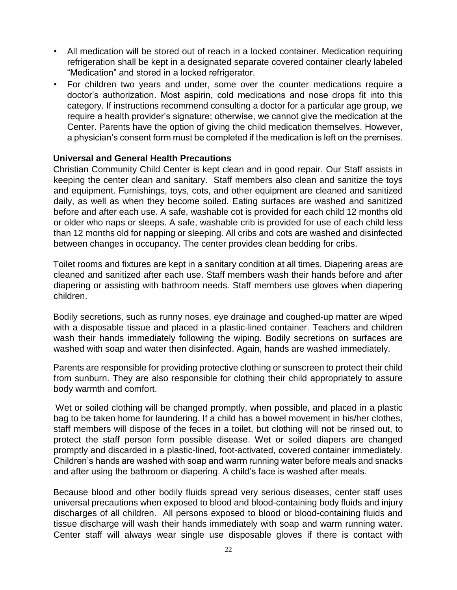- All medication will be stored out of reach in a locked container. Medication requiring refrigeration shall be kept in a designated separate covered container clearly labeled "Medication" and stored in a locked refrigerator.
- For children two years and under, some over the counter medications require a doctor's authorization. Most aspirin, cold medications and nose drops fit into this category. If instructions recommend consulting a doctor for a particular age group, we require a health provider's signature; otherwise, we cannot give the medication at the Center. Parents have the option of giving the child medication themselves. However, a physician's consent form must be completed if the medication is left on the premises.

## **Universal and General Health Precautions**

Christian Community Child Center is kept clean and in good repair. Our Staff assists in keeping the center clean and sanitary. Staff members also clean and sanitize the toys and equipment. Furnishings, toys, cots, and other equipment are cleaned and sanitized daily, as well as when they become soiled. Eating surfaces are washed and sanitized before and after each use. A safe, washable cot is provided for each child 12 months old or older who naps or sleeps. A safe, washable crib is provided for use of each child less than 12 months old for napping or sleeping. All cribs and cots are washed and disinfected between changes in occupancy. The center provides clean bedding for cribs.

Toilet rooms and fixtures are kept in a sanitary condition at all times. Diapering areas are cleaned and sanitized after each use. Staff members wash their hands before and after diapering or assisting with bathroom needs. Staff members use gloves when diapering children.

Bodily secretions, such as runny noses, eye drainage and coughed-up matter are wiped with a disposable tissue and placed in a plastic-lined container. Teachers and children wash their hands immediately following the wiping. Bodily secretions on surfaces are washed with soap and water then disinfected. Again, hands are washed immediately.

Parents are responsible for providing protective clothing or sunscreen to protect their child from sunburn. They are also responsible for clothing their child appropriately to assure body warmth and comfort.

Wet or soiled clothing will be changed promptly, when possible, and placed in a plastic bag to be taken home for laundering. If a child has a bowel movement in his/her clothes, staff members will dispose of the feces in a toilet, but clothing will not be rinsed out, to protect the staff person form possible disease. Wet or soiled diapers are changed promptly and discarded in a plastic-lined, foot-activated, covered container immediately. Children's hands are washed with soap and warm running water before meals and snacks and after using the bathroom or diapering. A child's face is washed after meals.

Because blood and other bodily fluids spread very serious diseases, center staff uses universal precautions when exposed to blood and blood-containing body fluids and injury discharges of all children. All persons exposed to blood or blood-containing fluids and tissue discharge will wash their hands immediately with soap and warm running water. Center staff will always wear single use disposable gloves if there is contact with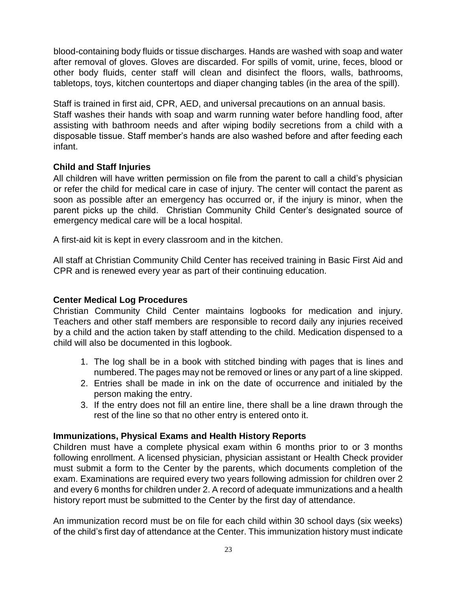blood-containing body fluids or tissue discharges. Hands are washed with soap and water after removal of gloves. Gloves are discarded. For spills of vomit, urine, feces, blood or other body fluids, center staff will clean and disinfect the floors, walls, bathrooms, tabletops, toys, kitchen countertops and diaper changing tables (in the area of the spill).

Staff is trained in first aid, CPR, AED, and universal precautions on an annual basis. Staff washes their hands with soap and warm running water before handling food, after assisting with bathroom needs and after wiping bodily secretions from a child with a disposable tissue. Staff member's hands are also washed before and after feeding each infant.

## **Child and Staff Injuries**

All children will have written permission on file from the parent to call a child's physician or refer the child for medical care in case of injury. The center will contact the parent as soon as possible after an emergency has occurred or, if the injury is minor, when the parent picks up the child. Christian Community Child Center's designated source of emergency medical care will be a local hospital.

A first-aid kit is kept in every classroom and in the kitchen.

All staff at Christian Community Child Center has received training in Basic First Aid and CPR and is renewed every year as part of their continuing education.

## **Center Medical Log Procedures**

Christian Community Child Center maintains logbooks for medication and injury. Teachers and other staff members are responsible to record daily any injuries received by a child and the action taken by staff attending to the child. Medication dispensed to a child will also be documented in this logbook.

- 1. The log shall be in a book with stitched binding with pages that is lines and numbered. The pages may not be removed or lines or any part of a line skipped.
- 2. Entries shall be made in ink on the date of occurrence and initialed by the person making the entry.
- 3. If the entry does not fill an entire line, there shall be a line drawn through the rest of the line so that no other entry is entered onto it.

## **Immunizations, Physical Exams and Health History Reports**

Children must have a complete physical exam within 6 months prior to or 3 months following enrollment. A licensed physician, physician assistant or Health Check provider must submit a form to the Center by the parents, which documents completion of the exam. Examinations are required every two years following admission for children over 2 and every 6 months for children under 2. A record of adequate immunizations and a health history report must be submitted to the Center by the first day of attendance.

An immunization record must be on file for each child within 30 school days (six weeks) of the child's first day of attendance at the Center. This immunization history must indicate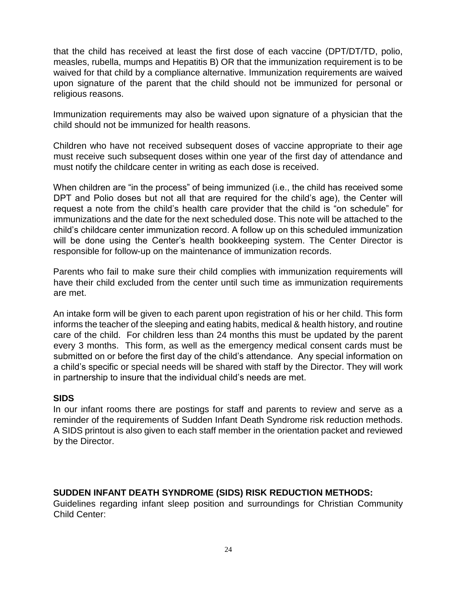that the child has received at least the first dose of each vaccine (DPT/DT/TD, polio, measles, rubella, mumps and Hepatitis B) OR that the immunization requirement is to be waived for that child by a compliance alternative. Immunization requirements are waived upon signature of the parent that the child should not be immunized for personal or religious reasons.

Immunization requirements may also be waived upon signature of a physician that the child should not be immunized for health reasons.

Children who have not received subsequent doses of vaccine appropriate to their age must receive such subsequent doses within one year of the first day of attendance and must notify the childcare center in writing as each dose is received.

When children are "in the process" of being immunized (i.e., the child has received some DPT and Polio doses but not all that are required for the child's age), the Center will request a note from the child's health care provider that the child is "on schedule" for immunizations and the date for the next scheduled dose. This note will be attached to the child's childcare center immunization record. A follow up on this scheduled immunization will be done using the Center's health bookkeeping system. The Center Director is responsible for follow-up on the maintenance of immunization records.

Parents who fail to make sure their child complies with immunization requirements will have their child excluded from the center until such time as immunization requirements are met.

An intake form will be given to each parent upon registration of his or her child. This form informs the teacher of the sleeping and eating habits, medical & health history, and routine care of the child. For children less than 24 months this must be updated by the parent every 3 months. This form, as well as the emergency medical consent cards must be submitted on or before the first day of the child's attendance. Any special information on a child's specific or special needs will be shared with staff by the Director. They will work in partnership to insure that the individual child's needs are met.

## **SIDS**

In our infant rooms there are postings for staff and parents to review and serve as a reminder of the requirements of Sudden Infant Death Syndrome risk reduction methods. A SIDS printout is also given to each staff member in the orientation packet and reviewed by the Director.

## **SUDDEN INFANT DEATH SYNDROME (SIDS) RISK REDUCTION METHODS:**

Guidelines regarding infant sleep position and surroundings for Christian Community Child Center: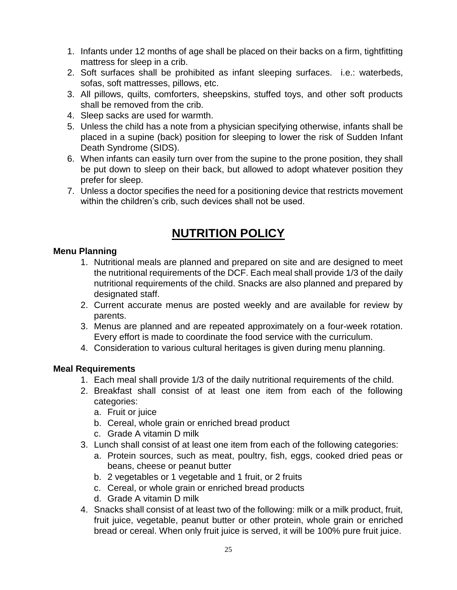- 1. Infants under 12 months of age shall be placed on their backs on a firm, tightfitting mattress for sleep in a crib.
- 2. Soft surfaces shall be prohibited as infant sleeping surfaces. i.e.: waterbeds, sofas, soft mattresses, pillows, etc.
- 3. All pillows, quilts, comforters, sheepskins, stuffed toys, and other soft products shall be removed from the crib.
- 4. Sleep sacks are used for warmth.
- 5. Unless the child has a note from a physician specifying otherwise, infants shall be placed in a supine (back) position for sleeping to lower the risk of Sudden Infant Death Syndrome (SIDS).
- 6. When infants can easily turn over from the supine to the prone position, they shall be put down to sleep on their back, but allowed to adopt whatever position they prefer for sleep.
- 7. Unless a doctor specifies the need for a positioning device that restricts movement within the children's crib, such devices shall not be used.

# **NUTRITION POLICY**

## **Menu Planning**

- 1. Nutritional meals are planned and prepared on site and are designed to meet the nutritional requirements of the DCF. Each meal shall provide 1/3 of the daily nutritional requirements of the child. Snacks are also planned and prepared by designated staff.
- 2. Current accurate menus are posted weekly and are available for review by parents.
- 3. Menus are planned and are repeated approximately on a four-week rotation. Every effort is made to coordinate the food service with the curriculum.
- 4. Consideration to various cultural heritages is given during menu planning.

## **Meal Requirements**

- 1. Each meal shall provide 1/3 of the daily nutritional requirements of the child.
- 2. Breakfast shall consist of at least one item from each of the following categories:
	- a. Fruit or juice
	- b. Cereal, whole grain or enriched bread product
	- c. Grade A vitamin D milk
- 3. Lunch shall consist of at least one item from each of the following categories:
	- a. Protein sources, such as meat, poultry, fish, eggs, cooked dried peas or beans, cheese or peanut butter
	- b. 2 vegetables or 1 vegetable and 1 fruit, or 2 fruits
	- c. Cereal, or whole grain or enriched bread products
	- d. Grade A vitamin D milk
- 4. Snacks shall consist of at least two of the following: milk or a milk product, fruit, fruit juice, vegetable, peanut butter or other protein, whole grain or enriched bread or cereal. When only fruit juice is served, it will be 100% pure fruit juice.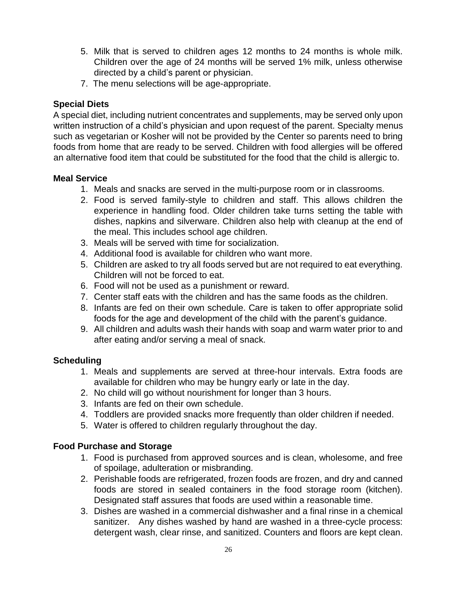- 5. Milk that is served to children ages 12 months to 24 months is whole milk. Children over the age of 24 months will be served 1% milk, unless otherwise directed by a child's parent or physician.
- 7. The menu selections will be age-appropriate.

## **Special Diets**

A special diet, including nutrient concentrates and supplements, may be served only upon written instruction of a child's physician and upon request of the parent. Specialty menus such as vegetarian or Kosher will not be provided by the Center so parents need to bring foods from home that are ready to be served. Children with food allergies will be offered an alternative food item that could be substituted for the food that the child is allergic to.

## **Meal Service**

- 1. Meals and snacks are served in the multi-purpose room or in classrooms.
- 2. Food is served family-style to children and staff. This allows children the experience in handling food. Older children take turns setting the table with dishes, napkins and silverware. Children also help with cleanup at the end of the meal. This includes school age children.
- 3. Meals will be served with time for socialization.
- 4. Additional food is available for children who want more.
- 5. Children are asked to try all foods served but are not required to eat everything. Children will not be forced to eat.
- 6. Food will not be used as a punishment or reward.
- 7. Center staff eats with the children and has the same foods as the children.
- 8. Infants are fed on their own schedule. Care is taken to offer appropriate solid foods for the age and development of the child with the parent's guidance.
- 9. All children and adults wash their hands with soap and warm water prior to and after eating and/or serving a meal of snack.

## **Scheduling**

- 1. Meals and supplements are served at three-hour intervals. Extra foods are available for children who may be hungry early or late in the day.
- 2. No child will go without nourishment for longer than 3 hours.
- 3. Infants are fed on their own schedule.
- 4. Toddlers are provided snacks more frequently than older children if needed.
- 5. Water is offered to children regularly throughout the day.

## **Food Purchase and Storage**

- 1. Food is purchased from approved sources and is clean, wholesome, and free of spoilage, adulteration or misbranding.
- 2. Perishable foods are refrigerated, frozen foods are frozen, and dry and canned foods are stored in sealed containers in the food storage room (kitchen). Designated staff assures that foods are used within a reasonable time.
- 3. Dishes are washed in a commercial dishwasher and a final rinse in a chemical sanitizer. Any dishes washed by hand are washed in a three-cycle process: detergent wash, clear rinse, and sanitized. Counters and floors are kept clean.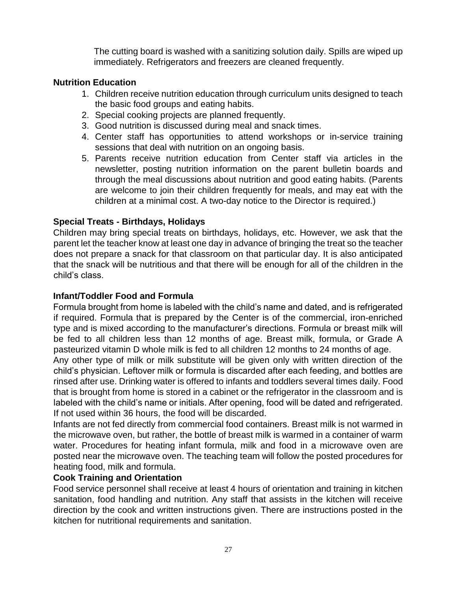The cutting board is washed with a sanitizing solution daily. Spills are wiped up immediately. Refrigerators and freezers are cleaned frequently.

## **Nutrition Education**

- 1. Children receive nutrition education through curriculum units designed to teach the basic food groups and eating habits.
- 2. Special cooking projects are planned frequently.
- 3. Good nutrition is discussed during meal and snack times.
- 4. Center staff has opportunities to attend workshops or in-service training sessions that deal with nutrition on an ongoing basis.
- 5. Parents receive nutrition education from Center staff via articles in the newsletter, posting nutrition information on the parent bulletin boards and through the meal discussions about nutrition and good eating habits. (Parents are welcome to join their children frequently for meals, and may eat with the children at a minimal cost. A two-day notice to the Director is required.)

## **Special Treats - Birthdays, Holidays**

Children may bring special treats on birthdays, holidays, etc. However, we ask that the parent let the teacher know at least one day in advance of bringing the treat so the teacher does not prepare a snack for that classroom on that particular day. It is also anticipated that the snack will be nutritious and that there will be enough for all of the children in the child's class.

## **Infant/Toddler Food and Formula**

Formula brought from home is labeled with the child's name and dated, and is refrigerated if required. Formula that is prepared by the Center is of the commercial, iron-enriched type and is mixed according to the manufacturer's directions. Formula or breast milk will be fed to all children less than 12 months of age. Breast milk, formula, or Grade A pasteurized vitamin D whole milk is fed to all children 12 months to 24 months of age.

Any other type of milk or milk substitute will be given only with written direction of the child's physician. Leftover milk or formula is discarded after each feeding, and bottles are rinsed after use. Drinking water is offered to infants and toddlers several times daily. Food that is brought from home is stored in a cabinet or the refrigerator in the classroom and is labeled with the child's name or initials. After opening, food will be dated and refrigerated. If not used within 36 hours, the food will be discarded.

Infants are not fed directly from commercial food containers. Breast milk is not warmed in the microwave oven, but rather, the bottle of breast milk is warmed in a container of warm water. Procedures for heating infant formula, milk and food in a microwave oven are posted near the microwave oven. The teaching team will follow the posted procedures for heating food, milk and formula.

## **Cook Training and Orientation**

Food service personnel shall receive at least 4 hours of orientation and training in kitchen sanitation, food handling and nutrition. Any staff that assists in the kitchen will receive direction by the cook and written instructions given. There are instructions posted in the kitchen for nutritional requirements and sanitation.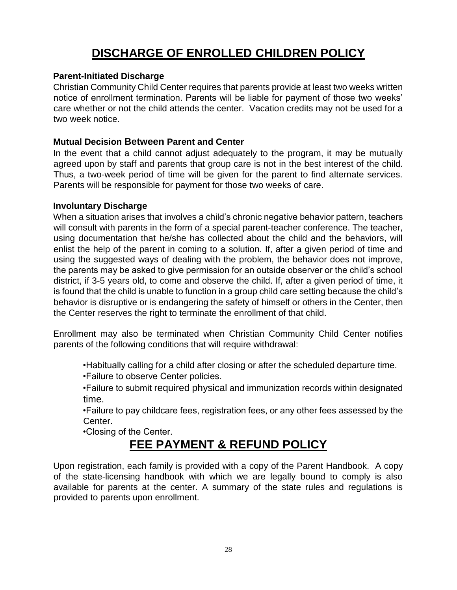# **DISCHARGE OF ENROLLED CHILDREN POLICY**

## **Parent-Initiated Discharge**

Christian Community Child Center requires that parents provide at least two weeks written notice of enrollment termination. Parents will be liable for payment of those two weeks' care whether or not the child attends the center. Vacation credits may not be used for a two week notice.

## **Mutual Decision Between Parent and Center**

In the event that a child cannot adjust adequately to the program, it may be mutually agreed upon by staff and parents that group care is not in the best interest of the child. Thus, a two-week period of time will be given for the parent to find alternate services. Parents will be responsible for payment for those two weeks of care.

## **Involuntary Discharge**

When a situation arises that involves a child's chronic negative behavior pattern, teachers will consult with parents in the form of a special parent-teacher conference. The teacher, using documentation that he/she has collected about the child and the behaviors, will enlist the help of the parent in coming to a solution. If, after a given period of time and using the suggested ways of dealing with the problem, the behavior does not improve, the parents may be asked to give permission for an outside observer or the child's school district, if 3-5 years old, to come and observe the child. If, after a given period of time, it is found that the child is unable to function in a group child care setting because the child's behavior is disruptive or is endangering the safety of himself or others in the Center, then the Center reserves the right to terminate the enrollment of that child.

Enrollment may also be terminated when Christian Community Child Center notifies parents of the following conditions that will require withdrawal:

•Habitually calling for a child after closing or after the scheduled departure time.

•Failure to observe Center policies.

•Failure to submit required physical and immunization records within designated time.

•Failure to pay childcare fees, registration fees, or any other fees assessed by the Center.

•Closing of the Center.

# **FEE PAYMENT & REFUND POLICY**

Upon registration, each family is provided with a copy of the Parent Handbook. A copy of the state-licensing handbook with which we are legally bound to comply is also available for parents at the center. A summary of the state rules and regulations is provided to parents upon enrollment.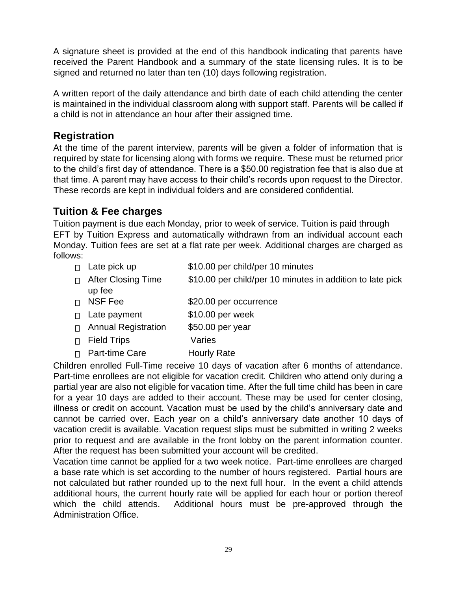A signature sheet is provided at the end of this handbook indicating that parents have received the Parent Handbook and a summary of the state licensing rules. It is to be signed and returned no later than ten (10) days following registration.

A written report of the daily attendance and birth date of each child attending the center is maintained in the individual classroom along with support staff. Parents will be called if a child is not in attendance an hour after their assigned time.

## **Registration**

At the time of the parent interview, parents will be given a folder of information that is required by state for licensing along with forms we require. These must be returned prior to the child's first day of attendance. There is a \$50.00 registration fee that is also due at that time. A parent may have access to their child's records upon request to the Director. These records are kept in individual folders and are considered confidential.

## **Tuition & Fee charges**

Tuition payment is due each Monday, prior to week of service. Tuition is paid through EFT by Tuition Express and automatically withdrawn from an individual account each Monday. Tuition fees are set at a flat rate per week. Additional charges are charged as follows:

- $\Box$  Late pick up  $$10.00$  per child/per 10 minutes
- □ After Closing Time up fee \$10.00 per child/per 10 minutes in addition to late pick
- □ NSF Fee \$20.00 per occurrence
- □ Late payment \$10.00 per week
- □ Annual Registration \$50.00 per year
- □ Field Trips Varies
- □ Part-time Care Hourly Rate

Children enrolled Full-Time receive 10 days of vacation after 6 months of attendance. Part-time enrollees are not eligible for vacation credit. Children who attend only during a partial year are also not eligible for vacation time. After the full time child has been in care for a year 10 days are added to their account. These may be used for center closing, illness or credit on account. Vacation must be used by the child's anniversary date and cannot be carried over. Each year on a child's anniversary date another 10 days of vacation credit is available. Vacation request slips must be submitted in writing 2 weeks prior to request and are available in the front lobby on the parent information counter. After the request has been submitted your account will be credited.

Vacation time cannot be applied for a two week notice. Part-time enrollees are charged a base rate which is set according to the number of hours registered. Partial hours are not calculated but rather rounded up to the next full hour. In the event a child attends additional hours, the current hourly rate will be applied for each hour or portion thereof which the child attends. Additional hours must be pre-approved through the Administration Office.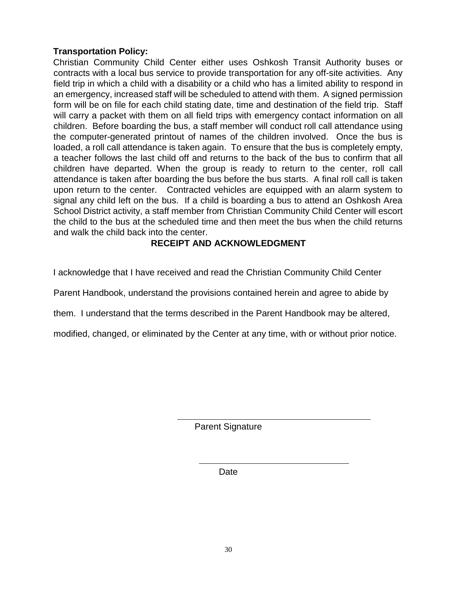## **Transportation Policy:**

Christian Community Child Center either uses Oshkosh Transit Authority buses or contracts with a local bus service to provide transportation for any off-site activities. Any field trip in which a child with a disability or a child who has a limited ability to respond in an emergency, increased staff will be scheduled to attend with them. A signed permission form will be on file for each child stating date, time and destination of the field trip. Staff will carry a packet with them on all field trips with emergency contact information on all children. Before boarding the bus, a staff member will conduct roll call attendance using the computer-generated printout of names of the children involved. Once the bus is loaded, a roll call attendance is taken again. To ensure that the bus is completely empty, a teacher follows the last child off and returns to the back of the bus to confirm that all children have departed. When the group is ready to return to the center, roll call attendance is taken after boarding the bus before the bus starts. A final roll call is taken upon return to the center. Contracted vehicles are equipped with an alarm system to signal any child left on the bus. If a child is boarding a bus to attend an Oshkosh Area School District activity, a staff member from Christian Community Child Center will escort the child to the bus at the scheduled time and then meet the bus when the child returns and walk the child back into the center.

## **RECEIPT AND ACKNOWLEDGMENT**

I acknowledge that I have received and read the Christian Community Child Center

Parent Handbook, understand the provisions contained herein and agree to abide by

them. I understand that the terms described in the Parent Handbook may be altered,

modified, changed, or eliminated by the Center at any time, with or without prior notice.

Parent Signature

Date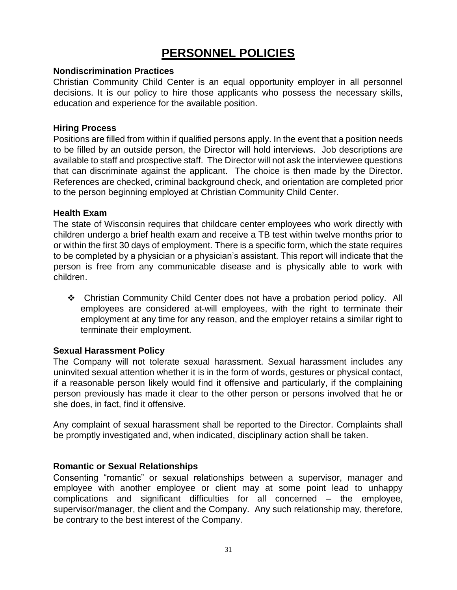# **PERSONNEL POLICIES**

#### **Nondiscrimination Practices**

Christian Community Child Center is an equal opportunity employer in all personnel decisions. It is our policy to hire those applicants who possess the necessary skills, education and experience for the available position.

#### **Hiring Process**

Positions are filled from within if qualified persons apply. In the event that a position needs to be filled by an outside person, the Director will hold interviews. Job descriptions are available to staff and prospective staff. The Director will not ask the interviewee questions that can discriminate against the applicant. The choice is then made by the Director. References are checked, criminal background check, and orientation are completed prior to the person beginning employed at Christian Community Child Center.

#### **Health Exam**

The state of Wisconsin requires that childcare center employees who work directly with children undergo a brief health exam and receive a TB test within twelve months prior to or within the first 30 days of employment. There is a specific form, which the state requires to be completed by a physician or a physician's assistant. This report will indicate that the person is free from any communicable disease and is physically able to work with children.

 Christian Community Child Center does not have a probation period policy. All employees are considered at-will employees, with the right to terminate their employment at any time for any reason, and the employer retains a similar right to terminate their employment.

## **Sexual Harassment Policy**

The Company will not tolerate sexual harassment. Sexual harassment includes any uninvited sexual attention whether it is in the form of words, gestures or physical contact, if a reasonable person likely would find it offensive and particularly, if the complaining person previously has made it clear to the other person or persons involved that he or she does, in fact, find it offensive.

Any complaint of sexual harassment shall be reported to the Director. Complaints shall be promptly investigated and, when indicated, disciplinary action shall be taken.

## **Romantic or Sexual Relationships**

Consenting "romantic" or sexual relationships between a supervisor, manager and employee with another employee or client may at some point lead to unhappy complications and significant difficulties for all concerned – the employee, supervisor/manager, the client and the Company. Any such relationship may, therefore, be contrary to the best interest of the Company.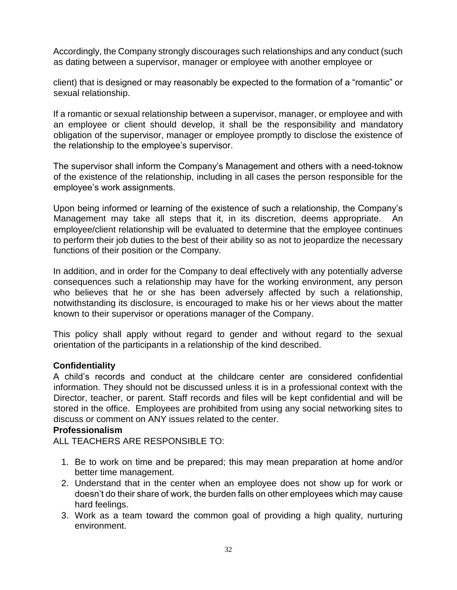Accordingly, the Company strongly discourages such relationships and any conduct (such as dating between a supervisor, manager or employee with another employee or

client) that is designed or may reasonably be expected to the formation of a "romantic" or sexual relationship.

If a romantic or sexual relationship between a supervisor, manager, or employee and with an employee or client should develop, it shall be the responsibility and mandatory obligation of the supervisor, manager or employee promptly to disclose the existence of the relationship to the employee's supervisor.

The supervisor shall inform the Company's Management and others with a needtoknow of the existence of the relationship, including in all cases the person responsible for the employee's work assignments.

Upon being informed or learning of the existence of such a relationship, the Company's Management may take all steps that it, in its discretion, deems appropriate. An employee/client relationship will be evaluated to determine that the employee continues to perform their job duties to the best of their ability so as not to jeopardize the necessary functions of their position or the Company.

In addition, and in order for the Company to deal effectively with any potentially adverse consequences such a relationship may have for the working environment, any person who believes that he or she has been adversely affected by such a relationship, notwithstanding its disclosure, is encouraged to make his or her views about the matter known to their supervisor or operations manager of the Company.

This policy shall apply without regard to gender and without regard to the sexual orientation of the participants in a relationship of the kind described.

## **Confidentiality**

A child's records and conduct at the childcare center are considered confidential information. They should not be discussed unless it is in a professional context with the Director, teacher, or parent. Staff records and files will be kept confidential and will be stored in the office. Employees are prohibited from using any social networking sites to discuss or comment on ANY issues related to the center.

#### **Professionalism**

ALL TEACHERS ARE RESPONSIBLE TO:

- 1. Be to work on time and be prepared; this may mean preparation at home and/or better time management.
- 2. Understand that in the center when an employee does not show up for work or doesn't do their share of work, the burden falls on other employees which may cause hard feelings.
- 3. Work as a team toward the common goal of providing a high quality, nurturing environment.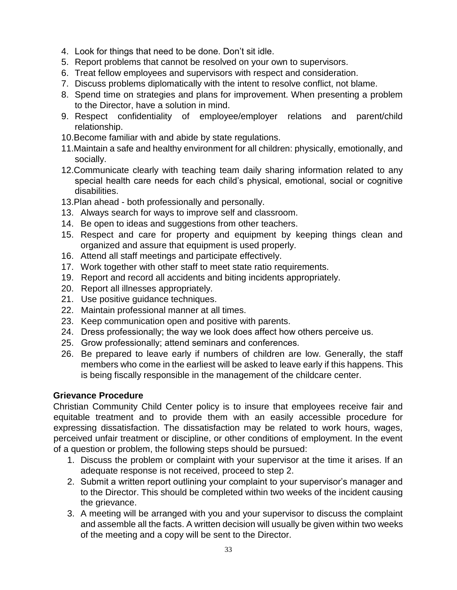- 4. Look for things that need to be done. Don't sit idle.
- 5. Report problems that cannot be resolved on your own to supervisors.
- 6. Treat fellow employees and supervisors with respect and consideration.
- 7. Discuss problems diplomatically with the intent to resolve conflict, not blame.
- 8. Spend time on strategies and plans for improvement. When presenting a problem to the Director, have a solution in mind.
- 9. Respect confidentiality of employee/employer relations and parent/child relationship.
- 10.Become familiar with and abide by state regulations.
- 11.Maintain a safe and healthy environment for all children: physically, emotionally, and socially.
- 12.Communicate clearly with teaching team daily sharing information related to any special health care needs for each child's physical, emotional, social or cognitive disabilities.
- 13.Plan ahead both professionally and personally.
- 13. Always search for ways to improve self and classroom.
- 14. Be open to ideas and suggestions from other teachers.
- 15. Respect and care for property and equipment by keeping things clean and organized and assure that equipment is used properly.
- 16. Attend all staff meetings and participate effectively.
- 17. Work together with other staff to meet state ratio requirements.
- 19. Report and record all accidents and biting incidents appropriately.
- 20. Report all illnesses appropriately.
- 21. Use positive guidance techniques.
- 22. Maintain professional manner at all times.
- 23. Keep communication open and positive with parents.
- 24. Dress professionally; the way we look does affect how others perceive us.
- 25. Grow professionally; attend seminars and conferences.
- 26. Be prepared to leave early if numbers of children are low. Generally, the staff members who come in the earliest will be asked to leave early if this happens. This is being fiscally responsible in the management of the childcare center.

## **Grievance Procedure**

Christian Community Child Center policy is to insure that employees receive fair and equitable treatment and to provide them with an easily accessible procedure for expressing dissatisfaction. The dissatisfaction may be related to work hours, wages, perceived unfair treatment or discipline, or other conditions of employment. In the event of a question or problem, the following steps should be pursued:

- 1. Discuss the problem or complaint with your supervisor at the time it arises. If an adequate response is not received, proceed to step 2.
- 2. Submit a written report outlining your complaint to your supervisor's manager and to the Director. This should be completed within two weeks of the incident causing the grievance.
- 3. A meeting will be arranged with you and your supervisor to discuss the complaint and assemble all the facts. A written decision will usually be given within two weeks of the meeting and a copy will be sent to the Director.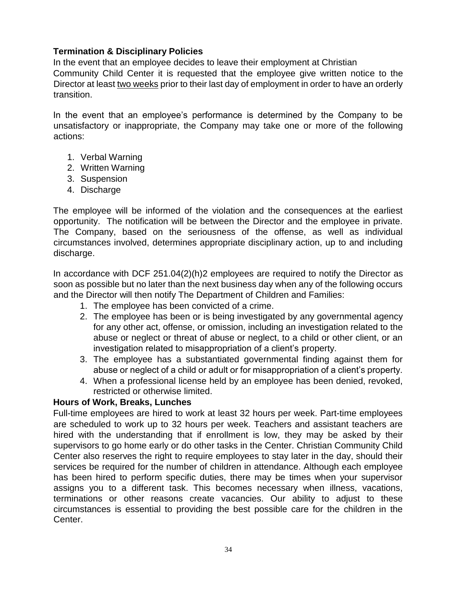## **Termination & Disciplinary Policies**

In the event that an employee decides to leave their employment at Christian Community Child Center it is requested that the employee give written notice to the Director at least two weeks prior to their last day of employment in order to have an orderly transition.

In the event that an employee's performance is determined by the Company to be unsatisfactory or inappropriate, the Company may take one or more of the following actions:

- 1. Verbal Warning
- 2. Written Warning
- 3. Suspension
- 4. Discharge

The employee will be informed of the violation and the consequences at the earliest opportunity. The notification will be between the Director and the employee in private. The Company, based on the seriousness of the offense, as well as individual circumstances involved, determines appropriate disciplinary action, up to and including discharge.

In accordance with DCF 251.04(2)(h)2 employees are required to notify the Director as soon as possible but no later than the next business day when any of the following occurs and the Director will then notify The Department of Children and Families:

- 1. The employee has been convicted of a crime.
- 2. The employee has been or is being investigated by any governmental agency for any other act, offense, or omission, including an investigation related to the abuse or neglect or threat of abuse or neglect, to a child or other client, or an investigation related to misappropriation of a client's property.
- 3. The employee has a substantiated governmental finding against them for abuse or neglect of a child or adult or for misappropriation of a client's property.
- 4. When a professional license held by an employee has been denied, revoked, restricted or otherwise limited.

## **Hours of Work, Breaks, Lunches**

Full-time employees are hired to work at least 32 hours per week. Part-time employees are scheduled to work up to 32 hours per week. Teachers and assistant teachers are hired with the understanding that if enrollment is low, they may be asked by their supervisors to go home early or do other tasks in the Center. Christian Community Child Center also reserves the right to require employees to stay later in the day, should their services be required for the number of children in attendance. Although each employee has been hired to perform specific duties, there may be times when your supervisor assigns you to a different task. This becomes necessary when illness, vacations, terminations or other reasons create vacancies. Our ability to adjust to these circumstances is essential to providing the best possible care for the children in the Center.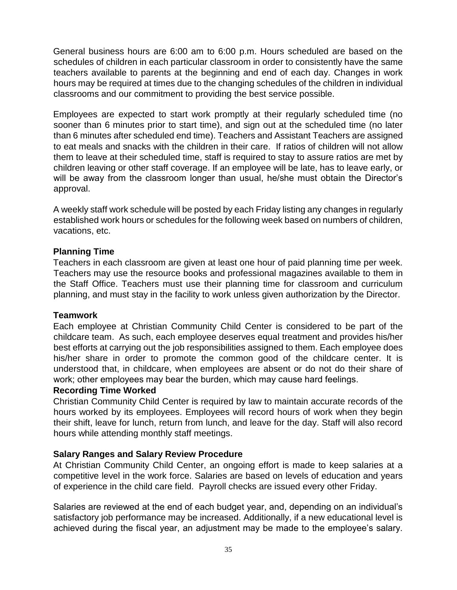General business hours are 6:00 am to 6:00 p.m. Hours scheduled are based on the schedules of children in each particular classroom in order to consistently have the same teachers available to parents at the beginning and end of each day. Changes in work hours may be required at times due to the changing schedules of the children in individual classrooms and our commitment to providing the best service possible.

Employees are expected to start work promptly at their regularly scheduled time (no sooner than 6 minutes prior to start time), and sign out at the scheduled time (no later than 6 minutes after scheduled end time). Teachers and Assistant Teachers are assigned to eat meals and snacks with the children in their care. If ratios of children will not allow them to leave at their scheduled time, staff is required to stay to assure ratios are met by children leaving or other staff coverage. If an employee will be late, has to leave early, or will be away from the classroom longer than usual, he/she must obtain the Director's approval.

A weekly staff work schedule will be posted by each Friday listing any changes in regularly established work hours or schedules for the following week based on numbers of children, vacations, etc.

## **Planning Time**

Teachers in each classroom are given at least one hour of paid planning time per week. Teachers may use the resource books and professional magazines available to them in the Staff Office. Teachers must use their planning time for classroom and curriculum planning, and must stay in the facility to work unless given authorization by the Director.

## **Teamwork**

Each employee at Christian Community Child Center is considered to be part of the childcare team. As such, each employee deserves equal treatment and provides his/her best efforts at carrying out the job responsibilities assigned to them. Each employee does his/her share in order to promote the common good of the childcare center. It is understood that, in childcare, when employees are absent or do not do their share of work; other employees may bear the burden, which may cause hard feelings.

## **Recording Time Worked**

Christian Community Child Center is required by law to maintain accurate records of the hours worked by its employees. Employees will record hours of work when they begin their shift, leave for lunch, return from lunch, and leave for the day. Staff will also record hours while attending monthly staff meetings.

## **Salary Ranges and Salary Review Procedure**

At Christian Community Child Center, an ongoing effort is made to keep salaries at a competitive level in the work force. Salaries are based on levels of education and years of experience in the child care field. Payroll checks are issued every other Friday.

Salaries are reviewed at the end of each budget year, and, depending on an individual's satisfactory job performance may be increased. Additionally, if a new educational level is achieved during the fiscal year, an adjustment may be made to the employee's salary.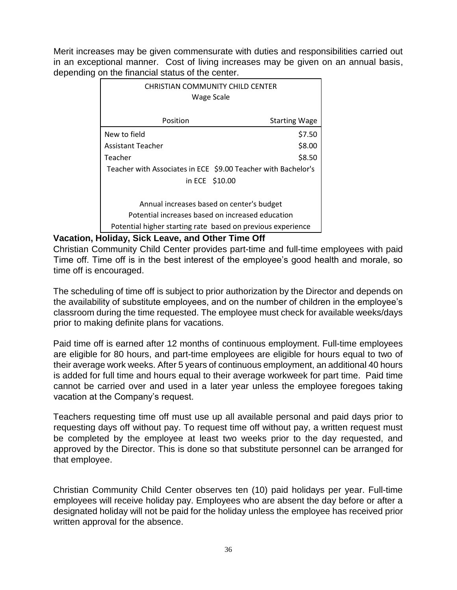Merit increases may be given commensurate with duties and responsibilities carried out in an exceptional manner. Cost of living increases may be given on an annual basis, depending on the financial status of the center.

| <b>CHRISTIAN COMMUNITY CHILD CENTER</b><br>Wage Scale         |                      |  |  |
|---------------------------------------------------------------|----------------------|--|--|
| Position                                                      | <b>Starting Wage</b> |  |  |
| New to field                                                  | \$7.50               |  |  |
| Assistant Teacher                                             | \$8.00               |  |  |
| Teacher                                                       | \$8.50               |  |  |
| Teacher with Associates in ECE \$9.00 Teacher with Bachelor's |                      |  |  |
| in ECE \$10.00                                                |                      |  |  |
|                                                               |                      |  |  |
| Annual increases based on center's budget                     |                      |  |  |
| Potential increases based on increased education              |                      |  |  |
| Potential higher starting rate based on previous experience   |                      |  |  |

## **Vacation, Holiday, Sick Leave, and Other Time Off**

Christian Community Child Center provides part-time and full-time employees with paid Time off. Time off is in the best interest of the employee's good health and morale, so time off is encouraged.

The scheduling of time off is subject to prior authorization by the Director and depends on the availability of substitute employees, and on the number of children in the employee's classroom during the time requested. The employee must check for available weeks/days prior to making definite plans for vacations.

Paid time off is earned after 12 months of continuous employment. Full-time employees are eligible for 80 hours, and part-time employees are eligible for hours equal to two of their average work weeks. After 5 years of continuous employment, an additional 40 hours is added for full time and hours equal to their average workweek for part time. Paid time cannot be carried over and used in a later year unless the employee foregoes taking vacation at the Company's request.

Teachers requesting time off must use up all available personal and paid days prior to requesting days off without pay. To request time off without pay, a written request must be completed by the employee at least two weeks prior to the day requested, and approved by the Director. This is done so that substitute personnel can be arranged for that employee.

Christian Community Child Center observes ten (10) paid holidays per year. Full-time employees will receive holiday pay. Employees who are absent the day before or after a designated holiday will not be paid for the holiday unless the employee has received prior written approval for the absence.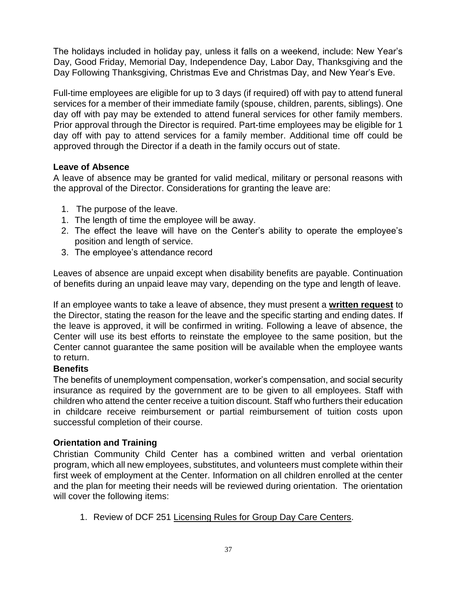The holidays included in holiday pay, unless it falls on a weekend, include: New Year's Day, Good Friday, Memorial Day, Independence Day, Labor Day, Thanksgiving and the Day Following Thanksgiving, Christmas Eve and Christmas Day, and New Year's Eve.

Full-time employees are eligible for up to 3 days (if required) off with pay to attend funeral services for a member of their immediate family (spouse, children, parents, siblings). One day off with pay may be extended to attend funeral services for other family members. Prior approval through the Director is required. Part-time employees may be eligible for 1 day off with pay to attend services for a family member. Additional time off could be approved through the Director if a death in the family occurs out of state.

## **Leave of Absence**

A leave of absence may be granted for valid medical, military or personal reasons with the approval of the Director. Considerations for granting the leave are:

- 1. The purpose of the leave.
- 1. The length of time the employee will be away.
- 2. The effect the leave will have on the Center's ability to operate the employee's position and length of service.
- 3. The employee's attendance record

Leaves of absence are unpaid except when disability benefits are payable. Continuation of benefits during an unpaid leave may vary, depending on the type and length of leave.

If an employee wants to take a leave of absence, they must present a **written request** to the Director, stating the reason for the leave and the specific starting and ending dates. If the leave is approved, it will be confirmed in writing. Following a leave of absence, the Center will use its best efforts to reinstate the employee to the same position, but the Center cannot guarantee the same position will be available when the employee wants to return.

## **Benefits**

The benefits of unemployment compensation, worker's compensation, and social security insurance as required by the government are to be given to all employees. Staff with children who attend the center receive a tuition discount. Staff who furthers their education in childcare receive reimbursement or partial reimbursement of tuition costs upon successful completion of their course.

## **Orientation and Training**

Christian Community Child Center has a combined written and verbal orientation program, which all new employees, substitutes, and volunteers must complete within their first week of employment at the Center. Information on all children enrolled at the center and the plan for meeting their needs will be reviewed during orientation. The orientation will cover the following items:

1. Review of DCF 251 Licensing Rules for Group Day Care Centers.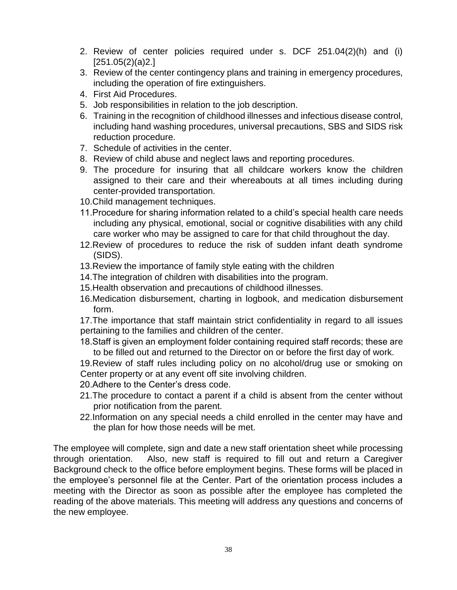- 2. Review of center policies required under s. DCF 251.04(2)(h) and (i) [251.05(2)(a)2.]
- 3. Review of the center contingency plans and training in emergency procedures, including the operation of fire extinguishers.
- 4. First Aid Procedures.
- 5. Job responsibilities in relation to the job description.
- 6. Training in the recognition of childhood illnesses and infectious disease control, including hand washing procedures, universal precautions, SBS and SIDS risk reduction procedure.
- 7. Schedule of activities in the center.
- 8. Review of child abuse and neglect laws and reporting procedures.
- 9. The procedure for insuring that all childcare workers know the children assigned to their care and their whereabouts at all times including during center-provided transportation.
- 10.Child management techniques.
- 11.Procedure for sharing information related to a child's special health care needs including any physical, emotional, social or cognitive disabilities with any child care worker who may be assigned to care for that child throughout the day.
- 12.Review of procedures to reduce the risk of sudden infant death syndrome (SIDS).
- 13.Review the importance of family style eating with the children
- 14.The integration of children with disabilities into the program.
- 15.Health observation and precautions of childhood illnesses.
- 16.Medication disbursement, charting in logbook, and medication disbursement form.
- 17.The importance that staff maintain strict confidentiality in regard to all issues pertaining to the families and children of the center.
- 18.Staff is given an employment folder containing required staff records; these are to be filled out and returned to the Director on or before the first day of work.
- 19.Review of staff rules including policy on no alcohol/drug use or smoking on Center property or at any event off site involving children.
- 20.Adhere to the Center's dress code.
- 21.The procedure to contact a parent if a child is absent from the center without prior notification from the parent.
- 22.Information on any special needs a child enrolled in the center may have and the plan for how those needs will be met.

The employee will complete, sign and date a new staff orientation sheet while processing through orientation. Also, new staff is required to fill out and return a Caregiver Background check to the office before employment begins. These forms will be placed in the employee's personnel file at the Center. Part of the orientation process includes a meeting with the Director as soon as possible after the employee has completed the reading of the above materials. This meeting will address any questions and concerns of the new employee.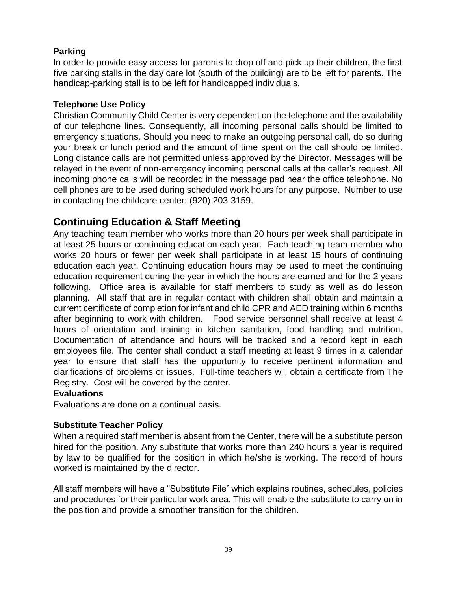## **Parking**

In order to provide easy access for parents to drop off and pick up their children, the first five parking stalls in the day care lot (south of the building) are to be left for parents. The handicap-parking stall is to be left for handicapped individuals.

## **Telephone Use Policy**

Christian Community Child Center is very dependent on the telephone and the availability of our telephone lines. Consequently, all incoming personal calls should be limited to emergency situations. Should you need to make an outgoing personal call, do so during your break or lunch period and the amount of time spent on the call should be limited. Long distance calls are not permitted unless approved by the Director. Messages will be relayed in the event of non-emergency incoming personal calls at the caller's request. All incoming phone calls will be recorded in the message pad near the office telephone. No cell phones are to be used during scheduled work hours for any purpose. Number to use in contacting the childcare center: (920) 203-3159.

## **Continuing Education & Staff Meeting**

Any teaching team member who works more than 20 hours per week shall participate in at least 25 hours or continuing education each year. Each teaching team member who works 20 hours or fewer per week shall participate in at least 15 hours of continuing education each year. Continuing education hours may be used to meet the continuing education requirement during the year in which the hours are earned and for the 2 years following. Office area is available for staff members to study as well as do lesson planning. All staff that are in regular contact with children shall obtain and maintain a current certificate of completion for infant and child CPR and AED training within 6 months after beginning to work with children. Food service personnel shall receive at least 4 hours of orientation and training in kitchen sanitation, food handling and nutrition. Documentation of attendance and hours will be tracked and a record kept in each employees file. The center shall conduct a staff meeting at least 9 times in a calendar year to ensure that staff has the opportunity to receive pertinent information and clarifications of problems or issues. Full-time teachers will obtain a certificate from The Registry. Cost will be covered by the center.

## **Evaluations**

Evaluations are done on a continual basis.

## **Substitute Teacher Policy**

When a required staff member is absent from the Center, there will be a substitute person hired for the position. Any substitute that works more than 240 hours a year is required by law to be qualified for the position in which he/she is working. The record of hours worked is maintained by the director.

All staff members will have a "Substitute File" which explains routines, schedules, policies and procedures for their particular work area. This will enable the substitute to carry on in the position and provide a smoother transition for the children.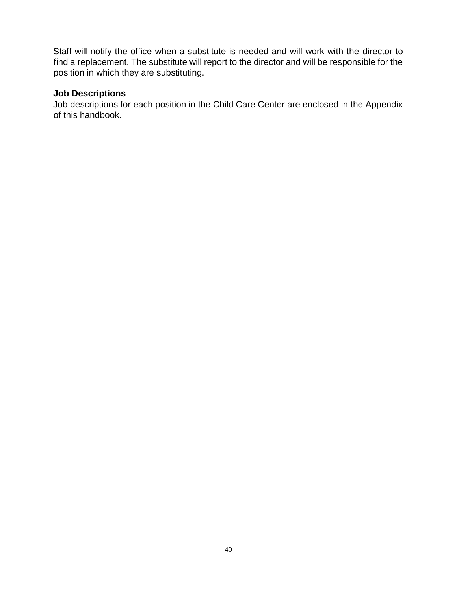Staff will notify the office when a substitute is needed and will work with the director to find a replacement. The substitute will report to the director and will be responsible for the position in which they are substituting.

## **Job Descriptions**

Job descriptions for each position in the Child Care Center are enclosed in the Appendix of this handbook.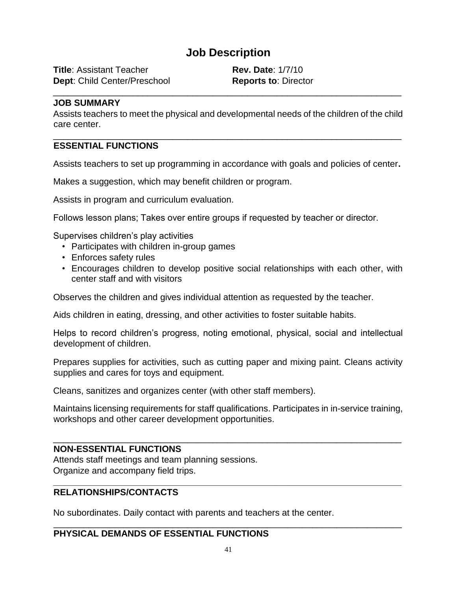## **Job Description**

**Title**: Assistant Teacher **Rev. Date**: 1/7/10 **Dept:** Child Center/Preschool **Reports to**: Director

#### **JOB SUMMARY**

Assists teachers to meet the physical and developmental needs of the children of the child care center.

\_\_\_\_\_\_\_\_\_\_\_\_\_\_\_\_\_\_\_\_\_\_\_\_\_\_\_\_\_\_\_\_\_\_\_\_\_\_\_\_\_\_\_\_\_\_\_\_\_\_\_\_\_\_\_\_\_\_\_\_\_\_\_\_\_\_\_\_\_\_

\_\_\_\_\_\_\_\_\_\_\_\_\_\_\_\_\_\_\_\_\_\_\_\_\_\_\_\_\_\_\_\_\_\_\_\_\_\_\_\_\_\_\_\_\_\_\_\_\_\_\_\_\_\_\_\_\_\_\_\_\_\_\_\_\_\_\_\_\_\_

## **ESSENTIAL FUNCTIONS**

Assists teachers to set up programming in accordance with goals and policies of center**.**

Makes a suggestion, which may benefit children or program.

Assists in program and curriculum evaluation.

Follows lesson plans; Takes over entire groups if requested by teacher or director.

Supervises children's play activities

- Participates with children in-group games
- Enforces safety rules
- Encourages children to develop positive social relationships with each other, with center staff and with visitors

Observes the children and gives individual attention as requested by the teacher.

Aids children in eating, dressing, and other activities to foster suitable habits.

Helps to record children's progress, noting emotional, physical, social and intellectual development of children.

Prepares supplies for activities, such as cutting paper and mixing paint. Cleans activity supplies and cares for toys and equipment.

Cleans, sanitizes and organizes center (with other staff members).

Maintains licensing requirements for staff qualifications. Participates in in-service training, workshops and other career development opportunities.

\_\_\_\_\_\_\_\_\_\_\_\_\_\_\_\_\_\_\_\_\_\_\_\_\_\_\_\_\_\_\_\_\_\_\_\_\_\_\_\_\_\_\_\_\_\_\_\_\_\_\_\_\_\_\_\_\_\_\_\_\_\_\_\_\_\_\_\_\_\_

**\_\_\_\_\_\_\_\_\_\_\_\_\_\_\_\_\_\_\_\_\_\_\_\_\_\_\_\_\_\_\_\_\_\_\_\_\_\_\_\_\_\_\_\_\_\_\_\_\_\_\_\_\_\_\_\_\_\_\_\_\_\_\_\_\_\_\_\_\_\_** 

## **NON-ESSENTIAL FUNCTIONS**

Attends staff meetings and team planning sessions. Organize and accompany field trips.

## **RELATIONSHIPS/CONTACTS**

No subordinates. Daily contact with parents and teachers at the center.

## **PHYSICAL DEMANDS OF ESSENTIAL FUNCTIONS**

\_\_\_\_\_\_\_\_\_\_\_\_\_\_\_\_\_\_\_\_\_\_\_\_\_\_\_\_\_\_\_\_\_\_\_\_\_\_\_\_\_\_\_\_\_\_\_\_\_\_\_\_\_\_\_\_\_\_\_\_\_\_\_\_\_\_\_\_\_\_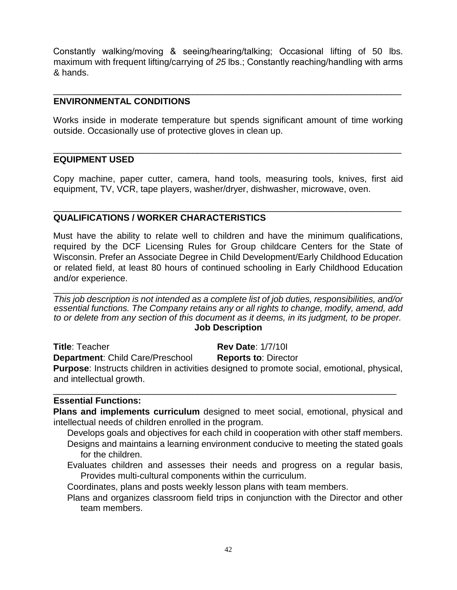Constantly walking/moving & seeing/hearing/talking; Occasional lifting of 50 lbs. maximum with frequent lifting/carrying of *25* lbs.; Constantly reaching/handling with arms & hands.

\_\_\_\_\_\_\_\_\_\_\_\_\_\_\_\_\_\_\_\_\_\_\_\_\_\_\_\_\_\_\_\_\_\_\_\_\_\_\_\_\_\_\_\_\_\_\_\_\_\_\_\_\_\_\_\_\_\_\_\_\_\_\_\_\_\_\_\_\_\_

## **ENVIRONMENTAL CONDITIONS**

Works inside in moderate temperature but spends significant amount of time working outside. Occasionally use of protective gloves in clean up.

\_\_\_\_\_\_\_\_\_\_\_\_\_\_\_\_\_\_\_\_\_\_\_\_\_\_\_\_\_\_\_\_\_\_\_\_\_\_\_\_\_\_\_\_\_\_\_\_\_\_\_\_\_\_\_\_\_\_\_\_\_\_\_\_\_\_\_\_\_\_

## **EQUIPMENT USED**

Copy machine, paper cutter, camera, hand tools, measuring tools, knives, first aid equipment, TV, VCR, tape players, washer/dryer, dishwasher, microwave, oven.

\_\_\_\_\_\_\_\_\_\_\_\_\_\_\_\_\_\_\_\_\_\_\_\_\_\_\_\_\_\_\_\_\_\_\_\_\_\_\_\_\_\_\_\_\_\_\_\_\_\_\_\_\_\_\_\_\_\_\_\_\_\_\_\_\_\_\_\_\_\_

## **QUALIFICATIONS / WORKER CHARACTERISTICS**

Must have the ability to relate well to children and have the minimum qualifications, required by the DCF Licensing Rules for Group childcare Centers for the State of Wisconsin. Prefer an Associate Degree in Child Development/Early Childhood Education or related field, at least 80 hours of continued schooling in Early Childhood Education and/or experience.

\_\_\_\_\_\_\_\_\_\_\_\_\_\_\_\_\_\_\_\_\_\_\_\_\_\_\_\_\_\_\_\_\_\_\_\_\_\_\_\_\_\_\_\_\_\_\_\_\_\_\_\_\_\_\_\_\_\_\_\_\_\_\_\_\_\_\_\_\_\_ *This job description is not intended as a complete list of job duties, responsibilities, and/or essential functions. The Company retains any or all rights to change, modify, amend, add to or delete from any section of this document as it deems, in its judgment, to be proper.* **Job Description**

**Title**: Teacher **Rev Date**: 1/7/10I

**Department:** Child Care/Preschool **Reports to: Director** 

**Purpose**: Instructs children in activities designed to promote social, emotional, physical, and intellectual growth.

\_\_\_\_\_\_\_\_\_\_\_\_\_\_\_\_\_\_\_\_\_\_\_\_\_\_\_\_\_\_\_\_\_\_\_\_\_\_\_\_\_\_\_\_\_\_\_\_\_\_\_\_\_\_\_\_\_\_\_\_\_\_\_\_\_\_\_\_\_

## **Essential Functions:**

**Plans and implements curriculum** designed to meet social, emotional, physical and intellectual needs of children enrolled in the program.

- Develops goals and objectives for each child in cooperation with other staff members. Designs and maintains a learning environment conducive to meeting the stated goals for the children.
- Evaluates children and assesses their needs and progress on a regular basis, Provides multi-cultural components within the curriculum.

Coordinates, plans and posts weekly lesson plans with team members.

Plans and organizes classroom field trips in conjunction with the Director and other team members.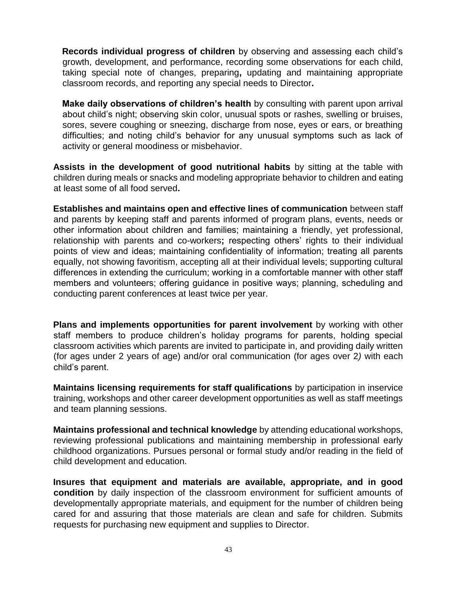**Records individual progress of children** by observing and assessing each child's growth, development, and performance, recording some observations for each child, taking special note of changes, preparing**,** updating and maintaining appropriate classroom records, and reporting any special needs to Director**.** 

**Make daily observations of children's health** by consulting with parent upon arrival about child's night; observing skin color, unusual spots or rashes, swelling or bruises, sores, severe coughing or sneezing, discharge from nose, eyes or ears, or breathing difficulties; and noting child's behavior for any unusual symptoms such as lack of activity or general moodiness or misbehavior.

**Assists in the development of good nutritional habits** by sitting at the table with children during meals or snacks and modeling appropriate behavior to children and eating at least some of all food served**.**

**Establishes and maintains open and effective lines of communication** between staff and parents by keeping staff and parents informed of program plans, events, needs or other information about children and families; maintaining a friendly, yet professional, relationship with parents and co-workers**;** respecting others' rights to their individual points of view and ideas; maintaining confidentiality of information; treating all parents equally, not showing favoritism, accepting all at their individual levels; supporting cultural differences in extending the curriculum; working in a comfortable manner with other staff members and volunteers; offering guidance in positive ways; planning, scheduling and conducting parent conferences at least twice per year.

**Plans and implements opportunities for parent involvement** by working with other staff members to produce children's holiday programs for parents, holding special classroom activities which parents are invited to participate in, and providing daily written (for ages under 2 years of age) and/or oral communication (for ages over 2*)* with each child's parent.

**Maintains licensing requirements for staff qualifications** by participation in inservice training, workshops and other career development opportunities as well as staff meetings and team planning sessions.

**Maintains professional and technical knowledge** by attending educational workshops, reviewing professional publications and maintaining membership in professional early childhood organizations. Pursues personal or formal study and/or reading in the field of child development and education.

**Insures that equipment and materials are available, appropriate, and in good condition** by daily inspection of the classroom environment for sufficient amounts of developmentally appropriate materials, and equipment for the number of children being cared for and assuring that those materials are clean and safe for children. Submits requests for purchasing new equipment and supplies to Director.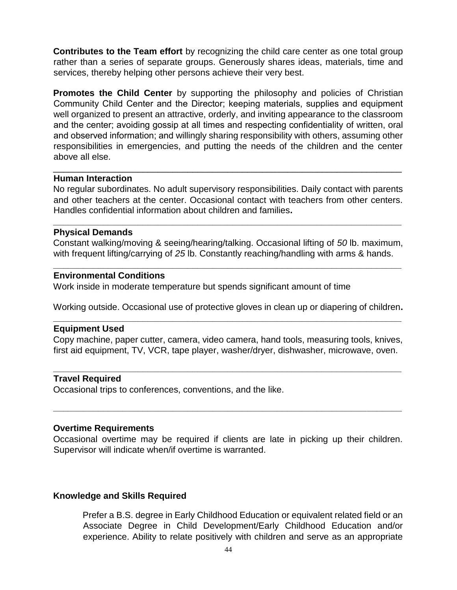**Contributes to the Team effort** by recognizing the child care center as one total group rather than a series of separate groups. Generously shares ideas, materials, time and services, thereby helping other persons achieve their very best.

**Promotes the Child Center** by supporting the philosophy and policies of Christian Community Child Center and the Director; keeping materials, supplies and equipment well organized to present an attractive, orderly, and inviting appearance to the classroom and the center; avoiding gossip at all times and respecting confidentiality of written, oral and observed information; and willingly sharing responsibility with others, assuming other responsibilities in emergencies, and putting the needs of the children and the center above all else.

#### **Human Interaction**

No regular subordinates. No adult supervisory responsibilities. Daily contact with parents and other teachers at the center. Occasional contact with teachers from other centers. Handles confidential information about children and families**.**

**\_\_\_\_\_\_\_\_\_\_\_\_\_\_\_\_\_\_\_\_\_\_\_\_\_\_\_\_\_\_\_\_\_\_\_\_\_\_\_\_\_\_\_\_\_\_\_\_\_\_\_\_\_\_\_\_\_\_\_\_\_\_\_\_\_\_\_\_\_\_** 

\_\_\_\_\_\_\_\_\_\_\_\_\_\_\_\_\_\_\_\_\_\_\_\_\_\_\_\_\_\_\_\_\_\_\_\_\_\_\_\_\_\_\_\_\_\_\_\_\_\_\_\_\_\_\_\_\_\_\_\_\_\_\_\_\_\_\_\_\_\_

## **Physical Demands**

Constant walking/moving & seeing/hearing/talking. Occasional lifting of *50* lb. maximum, with frequent lifting/carrying of *25* lb. Constantly reaching/handling with arms & hands.

**\_\_\_\_\_\_\_\_\_\_\_\_\_\_\_\_\_\_\_\_\_\_\_\_\_\_\_\_\_\_\_\_\_\_\_\_\_\_\_\_\_\_\_\_\_\_\_\_\_\_\_\_\_\_\_\_\_\_\_\_\_\_\_\_\_\_\_\_\_\_** 

## **Environmental Conditions**

Work inside in moderate temperature but spends significant amount of time

Working outside. Occasional use of protective gloves in clean up or diapering of children**. \_\_\_\_\_\_\_\_\_\_\_\_\_\_\_\_\_\_\_\_\_\_\_\_\_\_\_\_\_\_\_\_\_\_\_\_\_\_\_\_\_\_\_\_\_\_\_\_\_\_\_\_\_\_\_\_\_\_\_\_\_\_\_\_\_\_\_\_\_\_** 

#### **Equipment Used**

Copy machine, paper cutter, camera, video camera, hand tools, measuring tools, knives, first aid equipment, TV, VCR, tape player, washer/dryer, dishwasher, microwave, oven.

**\_\_\_\_\_\_\_\_\_\_\_\_\_\_\_\_\_\_\_\_\_\_\_\_\_\_\_\_\_\_\_\_\_\_\_\_\_\_\_\_\_\_\_\_\_\_\_\_\_\_\_\_\_\_\_\_\_\_\_\_\_\_\_\_\_\_\_\_\_\_** 

**\_\_\_\_\_\_\_\_\_\_\_\_\_\_\_\_\_\_\_\_\_\_\_\_\_\_\_\_\_\_\_\_\_\_\_\_\_\_\_\_\_\_\_\_\_\_\_\_\_\_\_\_\_\_\_\_\_\_\_\_\_\_\_\_\_\_\_\_\_\_**

#### **Travel Required**

Occasional trips to conferences, conventions, and the like.

#### **Overtime Requirements**

Occasional overtime may be required if clients are late in picking up their children. Supervisor will indicate when/if overtime is warranted.

## **Knowledge and Skills Required**

Prefer a B.S. degree in Early Childhood Education or equivalent related field or an Associate Degree in Child Development/Early Childhood Education and/or experience. Ability to relate positively with children and serve as an appropriate